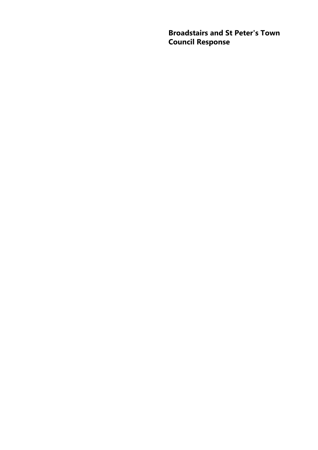**Broadstairs and St Peter's Town Council Response**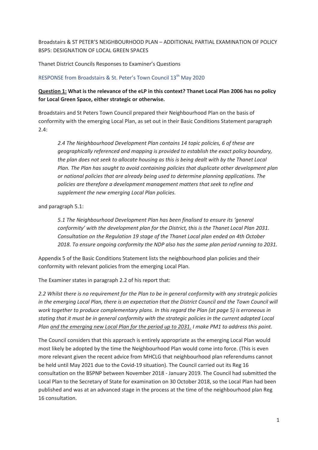Broadstairs & ST PETER'S NEIGHBOURHOOD PLAN – ADDITIONAL PARTIAL EXAMINATION OF POLICY BSP5: DESIGNATION OF LOCAL GREEN SPACES

Thanet District Councils Responses to Examiner's Questions

#### RESPONSE from Broadstairs & St. Peter's Town Council 13<sup>th</sup> May 2020

## **Question 1: What is the relevance of the eLP in this context? Thanet Local Plan 2006 has no policy for Local Green Space, either strategic or otherwise.**

Broadstairs and St Peters Town Council prepared their Neighbourhood Plan on the basis of conformity with the emerging Local Plan, as set out in their Basic Conditions Statement paragraph 2.4:

*2.4 The Neighbourhood Development Plan contains 14 topic policies, 6 of these are geographically referenced and mapping is provided to establish the exact policy boundary, the plan does not seek to allocate housing as this is being dealt with by the Thanet Local Plan. The Plan has sought to avoid containing policies that duplicate other development plan or national policies that are already being used to determine planning applications. The policies are therefore a development management matters that seek to refine and supplement the new emerging Local Plan policies.* 

and paragraph 5.1:

*5.1 The Neighbourhood Development Plan has been finalised to ensure its 'general conformity' with the development plan for the District, this is the Thanet Local Plan 2031. Consultation on the Regulation 19 stage of the Thanet Local plan ended on 4th October 2018. To ensure ongoing conformity the NDP also has the same plan period running to 2031.* 

Appendix 5 of the Basic Conditions Statement lists the neighbourhood plan policies and their conformity with relevant policies from the emerging Local Plan.

The Examiner states in paragraph 2.2 of his report that:

*2.2 Whilst there is no requirement for the Plan to be in general conformity with any strategic policies in the emerging Local Plan, there is an expectation that the District Council and the Town Council will work together to produce complementary plans. In this regard the Plan (at page 5) is erroneous in stating that it must be in general conformity with the strategic policies in the current adopted Local Plan and the emerging new Local Plan for the period up to 2031. I make PM1 to address this point.* 

The Council considers that this approach is entirely appropriate as the emerging Local Plan would most likely be adopted by the time the Neighbourhood Plan would come into force. (This is even more relevant given the recent advice from MHCLG that neighbourhood plan referendums cannot be held until May 2021 due to the Covid-19 situation). The Council carried out its Reg 16 consultation on the BSPNP between November 2018 - January 2019. The Council had submitted the Local Plan to the Secretary of State for examination on 30 October 2018, so the Local Plan had been published and was at an advanced stage in the process at the time of the neighbourhood plan Reg 16 consultation.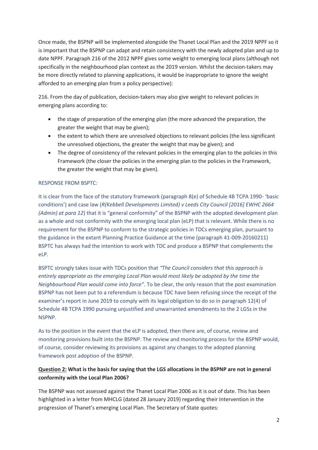Once made, the BSPNP will be implemented alongside the Thanet Local Plan and the 2019 NPPF so it is important that the BSPNP can adapt and retain consistency with the newly adopted plan and up to date NPPF. Paragraph 216 of the 2012 NPPF gives some weight to emerging local plans (although not specifically in the neighbourhood plan context as the 2019 version. Whilst the decision-takers may be more directly related to planning applications, it would be inappropriate to ignore the weight afforded to an emerging plan from a policy perspective):

216. From the day of publication, decision-takers may also give weight to relevant policies in emerging plans according to:

- the stage of preparation of the emerging plan (the more advanced the preparation, the greater the weight that may be given);
- the extent to which there are unresolved objections to relevant policies (the less significant the unresolved objections, the greater the weight that may be given); and
- The degree of consistency of the relevant policies in the emerging plan to the policies in this Framework (the closer the policies in the emerging plan to the policies in the Framework, the greater the weight that may be given).

## RESPONSE FROM BSPTC:

It is clear from the face of the statutory framework (paragraph 8(e) of Schedule 4B TCPA 1990- 'basic conditions') and case law (*R(Kebbell Developments Limited) v Leeds City Council [2016] EWHC 2664 (Admin) at para 12*) that it is "general conformity" of the BSPNP with the adopted development plan as a whole and not conformity with the emerging local plan (eLP) that is relevant. While there is no requirement for the BSPNP to conform to the strategic policies in TDCs emerging plan, pursuant to the guidance in the extant Planning Practice Guidance at the time (paragraph 41-009-20160211) BSPTC has always had the intention to work with TDC and produce a BSPNP that complements the eLP.

BSPTC strongly takes issue with TDCs position that *"The Council considers that this approach is entirely appropriate as the emerging Local Plan would most likely be adopted by the time the Neighbourhood Plan would come into force".* To be clear, the only reason that the post examination BSPNP has not been put to a referendum is because TDC have been refusing since the receipt of the examiner's report in June 2019 to comply with its legal obligation to do so in paragraph 12(4) of Schedule 4B TCPA 1990 pursuing unjustified and unwarranted amendments to the 2 LGSs in the NSPNP.

As to the position in the event that the eLP is adopted, then there are, of course, review and monitoring provisions built into the BSPNP. The review and monitoring process for the BSPNP would, of course, consider reviewing its provisions as against any changes to the adopted planning framework post adoption of the BSPNP.

## **Question 2: What is the basis for saying that the LGS allocations in the BSPNP are not in general conformity with the Local Plan 2006?**

The BSPNP was not assessed against the Thanet Local Plan 2006 as it is out of date. This has been highlighted in a letter from MHCLG (dated 28 January 2019) regarding their Intervention in the progression of Thanet's emerging Local Plan. The Secretary of State quotes: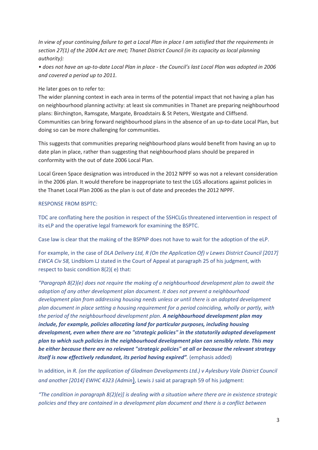*In view of your continuing failure to get a Local Plan in place I am satisfied that the requirements in section 27(1) of the 2004 Act are met; Thanet District Council (in its capacity as local planning authority):* 

*• does not have an up-to-date Local Plan in place - the Council's last Local Plan was adopted in 2006 and covered a period up to 2011.* 

#### He later goes on to refer to:

The wider planning context in each area in terms of the potential impact that not having a plan has on neighbourhood planning activity: at least six communities in Thanet are preparing neighbourhood plans: Birchington, Ramsgate, Margate, Broadstairs & St Peters, Westgate and Cliffsend. Communities can bring forward neighbourhood plans in the absence of an up-to-date Local Plan, but doing so can be more challenging for communities.

This suggests that communities preparing neighbourhood plans would benefit from having an up to date plan in place, rather than suggesting that neighbourhood plans should be prepared in conformity with the out of date 2006 Local Plan.

Local Green Space designation was introduced in the 2012 NPPF so was not a relevant consideration in the 2006 plan. It would therefore be inappropriate to test the LGS allocations against policies in the Thanet Local Plan 2006 as the plan is out of date and precedes the 2012 NPPF.

#### RESPONSE FROM BSPTC:

TDC are conflating here the position in respect of the SSHCLGs threatened intervention in respect of its eLP and the operative legal framework for examining the BSPTC.

Case law is clear that the making of the BSPNP does not have to wait for the adoption of the eLP.

For example, in the case of *DLA Delivery Ltd, R (On the Application Of) v Lewes District Council [2017] EWCA Civ 58,* Lindblom LJ stated in the Court of Appeal at paragraph 25 of his judgment, with respect to basic condition 8(2)( e) that:

*"Paragraph 8(2)(e) does not require the making of a neighbourhood development plan to await the adoption of any other development plan document. It does not prevent a neighbourhood development plan from addressing housing needs unless or until there is an adopted development plan document in place setting a housing requirement for a period coinciding, wholly or partly, with the period of the neighbourhood development plan. A neighbourhood development plan may include, for example, policies allocating land for particular purposes, including housing development, even when there are no "strategic policies" in the statutorily adopted development plan to which such policies in the neighbourhood development plan can sensibly relate. This may be either because there are no relevant "strategic policies" at all or because the relevant strategy itself is now effectively redundant, its period having expired".* (emphasis added)

In addition, in *R. (on the application of Gladman Developments Ltd.) v Aylesbury Vale District Council and another [2014] EWHC 4323 (Admin*), Lewis J said at paragraph 59 of his judgment:

*"The condition in paragraph 8(2)(e)] is dealing with a situation where there are in existence strategic policies and they are contained in a development plan document and there is a conflict between*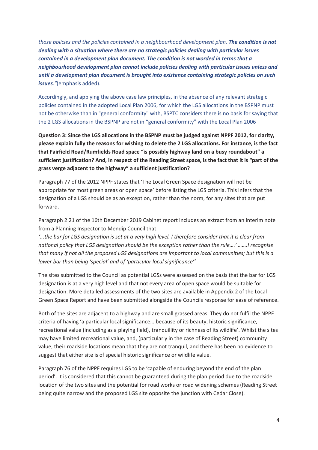*those policies and the policies contained in a neighbourhood development plan. The condition is not dealing with a situation where there are no strategic policies dealing with particular issues contained in a development plan document. The condition is not worded in terms that a neighbourhood development plan cannot include policies dealing with particular issues unless and until a development plan document is brought into existence containing strategic policies on such issues."*(emphasis added).

Accordingly, and applying the above case law principles, in the absence of any relevant strategic policies contained in the adopted Local Plan 2006, for which the LGS allocations in the BSPNP must not be otherwise than in "general conformity" with, BSPTC considers there is no basis for saying that the 2 LGS allocations in the BSPNP are not in "general conformity" with the Local Plan 2006

**Question 3: Since the LGS allocations in the BSPNP must be judged against NPPF 2012, for clarity, please explain fully the reasons for wishing to delete the 2 LGS allocations. For instance, is the fact that Fairfield Road/Rumfields Road space "is possibly highway land on a busy roundabout" a sufficient justification? And, in respect of the Reading Street space, is the fact that it is "part of the grass verge adjacent to the highway" a sufficient justification?** 

Paragraph 77 of the 2012 NPPF states that 'The Local Green Space designation will not be appropriate for most green areas or open space' before listing the LGS criteria. This infers that the designation of a LGS should be as an exception, rather than the norm, for any sites that are put forward.

Paragraph 2.21 of the 16th December 2019 Cabinet report includes an extract from an interim note from a Planning Inspector to Mendip Council that:

*'...the bar for LGS designation is set at a very high level. I therefore consider that it is clear from national policy that LGS designation should be the exception rather than the rule….' …….I recognise that many if not all the proposed LGS designations are important to local communities; but this is a lower bar than being 'special' and of 'particular local significance''*

The sites submitted to the Council as potential LGSs were assessed on the basis that the bar for LGS designation is at a very high level and that not every area of open space would be suitable for designation. More detailed assessments of the two sites are available in Appendix 2 of the Local Green Space Report and have been submitted alongside the Councils response for ease of reference.

Both of the sites are adjacent to a highway and are small grassed areas. They do not fulfil the NPPF criteria of having 'a particular local significance….because of its beauty, historic significance, recreational value (including as a playing field), tranquillity or richness of its wildlife'. Whilst the sites may have limited recreational value, and, (particularly in the case of Reading Street) community value, their roadside locations mean that they are not tranquil, and there has been no evidence to suggest that either site is of special historic significance or wildlife value.

Paragraph 76 of the NPPF requires LGS to be 'capable of enduring beyond the end of the plan period'. It is considered that this cannot be guaranteed during the plan period due to the roadside location of the two sites and the potential for road works or road widening schemes (Reading Street being quite narrow and the proposed LGS site opposite the junction with Cedar Close).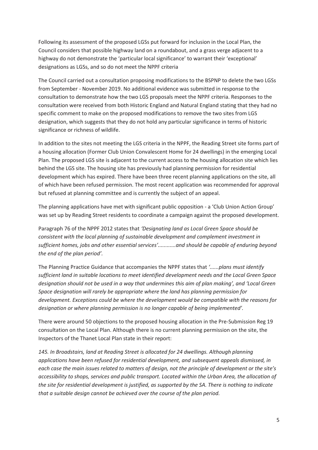Following its assessment of the proposed LGSs put forward for inclusion in the Local Plan, the Council considers that possible highway land on a roundabout, and a grass verge adjacent to a highway do not demonstrate the 'particular local significance' to warrant their 'exceptional' designations as LGSs, and so do not meet the NPPF criteria

The Council carried out a consultation proposing modifications to the BSPNP to delete the two LGSs from September - November 2019. No additional evidence was submitted in response to the consultation to demonstrate how the two LGS proposals meet the NPPF criteria. Responses to the consultation were received from both Historic England and Natural England stating that they had no specific comment to make on the proposed modifications to remove the two sites from LGS designation, which suggests that they do not hold any particular significance in terms of historic significance or richness of wildlife.

In addition to the sites not meeting the LGS criteria in the NPPF, the Reading Street site forms part of a housing allocation (Former Club Union Convalescent Home for 24 dwellings) in the emerging Local Plan. The proposed LGS site is adjacent to the current access to the housing allocation site which lies behind the LGS site. The housing site has previously had planning permission for residential development which has expired. There have been three recent planning applications on the site, all of which have been refused permission. The most recent application was recommended for approval but refused at planning committee and is currently the subject of an appeal.

The planning applications have met with significant public opposition - a 'Club Union Action Group' was set up by Reading Street residents to coordinate a campaign against the proposed development.

Paragraph 76 of the NPPF 2012 states that *'Designating land as Local Green Space should be consistent with the local planning of sustainable development and complement investment in sufficient homes, jobs and other essential services'............and should be capable of enduring beyond the end of the plan period'.* 

The Planning Practice Guidance that accompanies the NPPF states that *'......plans must identify sufficient land in suitable locations to meet identified development needs and the Local Green Space designation should not be used in a way that undermines this aim of plan making', and 'Local Green Space designation will rarely be appropriate where the land has planning permission for development. Exceptions could be where the development would be compatible with the reasons for designation or where planning permission is no longer capable of being implemented'.*

There were around 50 objections to the proposed housing allocation in the Pre-Submission Reg 19 consultation on the Local Plan. Although there is no current planning permission on the site, the Inspectors of the Thanet Local Plan state in their report:

*145. In Broadstairs, land at Reading Street is allocated for 24 dwellings. Although planning applications have been refused for residential development, and subsequent appeals dismissed, in each case the main issues related to matters of design, not the principle of development or the site's accessibility to shops, services and public transport. Located within the Urban Area, the allocation of the site for residential development is justified, as supported by the SA. There is nothing to indicate that a suitable design cannot be achieved over the course of the plan period.*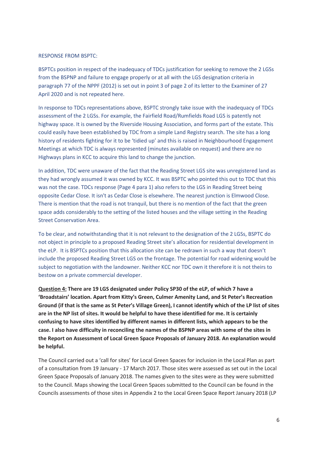#### RESPONSE FROM BSPTC:

BSPTCs position in respect of the inadequacy of TDCs justification for seeking to remove the 2 LGSs from the BSPNP and failure to engage properly or at all with the LGS designation criteria in paragraph 77 of the NPPF (2012) is set out in point 3 of page 2 of its letter to the Examiner of 27 April 2020 and is not repeated here.

In response to TDCs representations above, BSPTC strongly take issue with the inadequacy of TDCs assessment of the 2 LGSs. For example, the Fairfield Road/Rumfields Road LGS is patently not highway space. It is owned by the Riverside Housing Association, and forms part of the estate. This could easily have been established by TDC from a simple Land Registry search. The site has a long history of residents fighting for it to be 'tidied up' and this is raised in Neighbourhood Engagement Meetings at which TDC is always represented (minutes available on request) and there are no Highways plans in KCC to acquire this land to change the junction.

In addition, TDC were unaware of the fact that the Reading Street LGS site was unregistered land as they had wrongly assumed it was owned by KCC. It was BSPTC who pointed this out to TDC that this was not the case. TDCs response (Page 4 para 1) also refers to the LGS in Reading Street being opposite Cedar Close. It isn't as Cedar Close is elsewhere. The nearest junction is Elmwood Close. There is mention that the road is not tranquil, but there is no mention of the fact that the green space adds considerably to the setting of the listed houses and the village setting in the Reading Street Conservation Area.

To be clear, and notwithstanding that it is not relevant to the designation of the 2 LGSs, BSPTC do not object in principle to a proposed Reading Street site's allocation for residential development in the eLP. It is BSPTCs position that this allocation site can be redrawn in such a way that doesn't include the proposed Reading Street LGS on the frontage. The potential for road widening would be subject to negotiation with the landowner. Neither KCC nor TDC own it therefore it is not theirs to bestow on a private commercial developer.

**Question 4: There are 19 LGS designated under Policy SP30 of the eLP, of which 7 have a 'Broadstairs' location. Apart from Kitty's Green, Culmer Amenity Land, and St Peter's Recreation Ground (if that is the same as St Peter's Village Green), I cannot identify which of the LP list of sites are in the NP list of sites. It would be helpful to have these identified for me. It is certainly confusing to have sites identified by different names in different lists, which appears to be the case. I also have difficulty in reconciling the names of the BSPNP areas with some of the sites in the Report on Assessment of Local Green Space Proposals of January 2018. An explanation would be helpful.** 

The Council carried out a 'call for sites' for Local Green Spaces for inclusion in the Local Plan as part of a consultation from 19 January - 17 March 2017. Those sites were assessed as set out in the Local Green Space Proposals of January 2018. The names given to the sites were as they were submitted to the Council. Maps showing the Local Green Spaces submitted to the Council can be found in the Councils assessments of those sites in Appendix 2 to the Local Green Space Report January 2018 (LP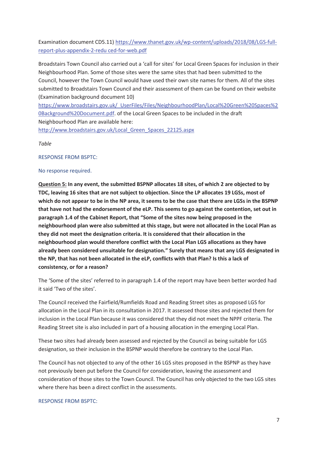Examination document CD5.11) https://www.thanet.gov.uk/wp-content/uploads/2018/08/LGS-fullreport-plus-appendix-2-redu ced-for-web.pdf

Broadstairs Town Council also carried out a 'call for sites' for Local Green Spaces for inclusion in their Neighbourhood Plan. Some of those sites were the same sites that had been submitted to the Council, however the Town Council would have used their own site names for them. All of the sites submitted to Broadstairs Town Council and their assessment of them can be found on their website (Examination background document 10)

https://www.broadstairs.gov.uk/\_UserFiles/Files/NeighbourhoodPlan/Local%20Green%20Spaces%2 0Background%20Document.pdf. of the Local Green Spaces to be included in the draft Neighbourhood Plan are available here:

http://www.broadstairs.gov.uk/Local\_Green\_Spaces\_22125.aspx

*Table* 

RESPONSE FROM BSPTC:

#### No response required.

**Question 5: In any event, the submitted BSPNP allocates 18 sites, of which 2 are objected to by TDC, leaving 16 sites that are not subject to objection. Since the LP allocates 19 LGSs, most of which do not appear to be in the NP area, it seems to be the case that there are LGSs in the BSPNP that have not had the endorsement of the eLP. This seems to go against the contention, set out in paragraph 1.4 of the Cabinet Report, that "Some of the sites now being proposed in the neighbourhood plan were also submitted at this stage, but were not allocated in the Local Plan as they did not meet the designation criteria. It is considered that their allocation in the neighbourhood plan would therefore conflict with the Local Plan LGS allocations as they have already been considered unsuitable for designation." Surely that means that any LGS designated in the NP, that has not been allocated in the eLP, conflicts with that Plan? Is this a lack of consistency, or for a reason?** 

The 'Some of the sites' referred to in paragraph 1.4 of the report may have been better worded had it said 'Two of the sites'.

The Council received the Fairfield/Rumfields Road and Reading Street sites as proposed LGS for allocation in the Local Plan in its consultation in 2017. It assessed those sites and rejected them for inclusion in the Local Plan because it was considered that they did not meet the NPPF criteria. The Reading Street site is also included in part of a housing allocation in the emerging Local Plan.

These two sites had already been assessed and rejected by the Council as being suitable for LGS designation, so their inclusion in the BSPNP would therefore be contrary to the Local Plan.

The Council has not objected to any of the other 16 LGS sites proposed in the BSPNP as they have not previously been put before the Council for consideration, leaving the assessment and consideration of those sites to the Town Council. The Council has only objected to the two LGS sites where there has been a direct conflict in the assessments.

#### RESPONSE FROM BSPTC: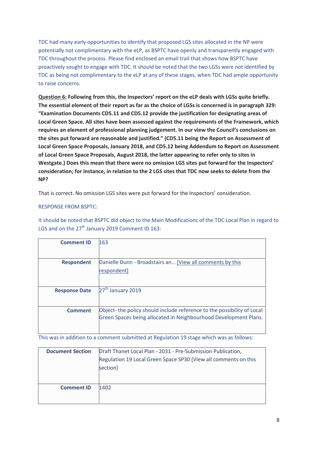TDC had many early opportunities to identify that proposed LGS sites allocated in the NP were potentially not complimentary with the eLP, as BSPTC have openly and transparently engaged with TDC throughout the process. Please find enclosed an email trail that shows how BSPTC have proactively sought to engage with TDC. It should be noted that the two LGSs were not identified by TDC as being not complimentary to the eLP at any of these stages, when TDC had ample opportunity to raise concerns.

**Question 6: Following from this, the Inspectors' report on the eLP deals with LGSs quite briefly. The essential element of their report as far as the choice of LGSs is concerned is in paragraph 329: "Examination Documents CD5.11 and CD5.12 provide the justification for designating areas of Local Green Space. All sites have been assessed against the requirements of the Framework, which requires an element of professional planning judgement. In our view the Council's conclusions on the sites put forward are reasonable and justified." (CD5.11 being the Report on Assessment of Local Green Space Proposals, January 2018, and CD5.12 being Addendum to Report on Assessment of Local Green Space Proposals, August 2018, the latter appearing to refer only to sites in Westgate.) Does this mean that there were no omission LGS sites put forward for the Inspectors' consideration; for instance, in relation to the 2 LGS sites that TDC now seeks to delete from the NP?** 

That is correct. No omission LGS sites were put forward for the Inspectors' consideration.

#### RESPONSE FROM BSPTC:

It should be noted that BSPTC did object to the Main Modifications of the TDC Local Plan in regard to LGS and on the  $27<sup>th</sup>$  January 2019 Comment ID 163:

| <b>Comment ID</b>    | 163                                                                     |
|----------------------|-------------------------------------------------------------------------|
|                      |                                                                         |
| <b>Respondent</b>    | Danielle Dunn - Broadstairs an [View all comments by this               |
|                      | respondent]                                                             |
|                      |                                                                         |
| <b>Response Date</b> | 27 <sup>th</sup> January 2019                                           |
|                      |                                                                         |
| <b>Comment</b>       | Object- the policy should include reference to the possibility of Local |
|                      | Green Spaces being allocated in Neighbourhood Development Plans.        |
|                      |                                                                         |

This was in addition to a comment submitted at Regulation 19 stage which was as follows:

| <b>Document Section</b> | Draft Thanet Local Plan - 2031 - Pre-Submission Publication,<br>Regulation 19 Local Green Space SP30 [View all comments on this<br>section] |
|-------------------------|---------------------------------------------------------------------------------------------------------------------------------------------|
| <b>Comment ID</b>       | 1402                                                                                                                                        |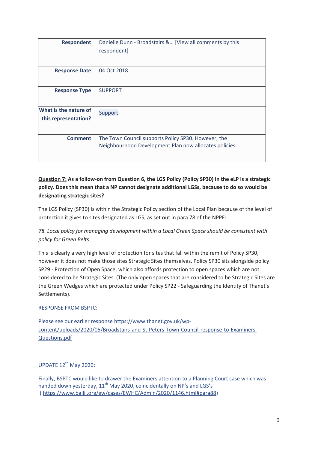| <b>Respondent</b>     | Danielle Dunn - Broadstairs & [View all comments by this |
|-----------------------|----------------------------------------------------------|
|                       | respondent]                                              |
|                       |                                                          |
| <b>Response Date</b>  | 04 Oct 2018                                              |
| <b>Response Type</b>  | <b>SUPPORT</b>                                           |
| What is the nature of | Support                                                  |
| this representation?  |                                                          |
|                       |                                                          |
| <b>Comment</b>        | The Town Council supports Policy SP30. However, the      |
|                       | Neighbourhood Development Plan now allocates policies.   |
|                       |                                                          |

## **Question 7: As a follow-on from Question 6, the LGS Policy (Policy SP30) in the eLP is a strategic policy. Does this mean that a NP cannot designate additional LGSs, because to do so would be designating strategic sites?**

The LGS Policy (SP30) is within the Strategic Policy section of the Local Plan because of the level of protection it gives to sites designated as LGS, as set out in para 78 of the NPPF:

## *78. Local policy for managing development within a Local Green Space should be consistent with policy for Green Belts*

This is clearly a very high level of protection for sites that fall within the remit of Policy SP30, however it does not make those sites Strategic Sites themselves. Policy SP30 sits alongside policy SP29 - Protection of Open Space, which also affords protection to open spaces which are not considered to be Strategic Sites. (The only open spaces that are considered to be Strategic Sites are the Green Wedges which are protected under Policy SP22 - Safeguarding the Identity of Thanet's Settlements).

## RESPONSE FROM BSPTC:

Please see our earlier response https://www.thanet.gov.uk/wpcontent/uploads/2020/05/Broadstairs-and-St-Peters-Town-Council-response-to-Examiners-Questions.pdf

UPDATE 12<sup>th</sup> May 2020:

Finally, BSPTC would like to drawer the Examiners attention to a Planning Court case which was handed down yesterday, 11<sup>th</sup> May 2020, coincidentally on NP's and LGS's ( https://www.bailii.org/ew/cases/EWHC/Admin/2020/1146.html#para88)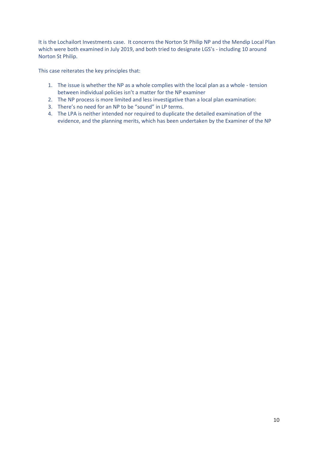It is the Lochailort Investments case. It concerns the Norton St Philip NP and the Mendip Local Plan which were both examined in July 2019, and both tried to designate LGS's - including 10 around Norton St Philip.

This case reiterates the key principles that:

- 1. The issue is whether the NP as a whole complies with the local plan as a whole tension between individual policies isn't a matter for the NP examiner
- 2. The NP process is more limited and less investigative than a local plan examination:
- 3. There's no need for an NP to be "sound" in LP terms.
- 4. The LPA is neither intended nor required to duplicate the detailed examination of the evidence, and the planning merits, which has been undertaken by the Examiner of the NP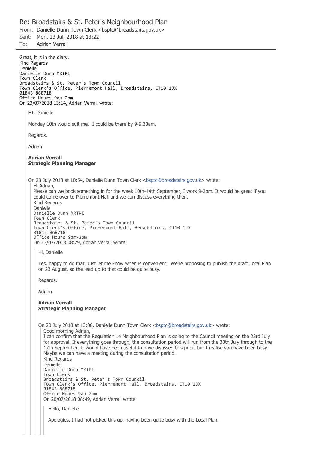#### Re: Broadstairs & St. Peter's Neighbourhood Plan

From: Danielle Dunn Town Clerk <bsptc@broadstairs.gov.uk>

Sent: Mon, 23 Jul, 2018 at 13:22

To: **Adrian Verrall** 

Great, it is in the diary. Kind Regards Danielle Danielle Dunn MRTPI Town Clerk Broadstairs & St. Peter's Town Council Town Clerk's Office, Pierremont Hall, Broadstairs, CT10 1JX 01843 868718 Office Hours 9am-2pm On 23/07/2018 13:14, Adrian Verrall wrote: HI, Danielle Monday 10th would suit me. I could be there by 9-9.30am. Regards. Adrian **Adrian Verrall Strategic Planning Manager** On 23 July 2018 at 10:54, Danielle Dunn Town Clerk <bsptc@broadstairs.gov.uk> wrote: Hi Adrian. Please can we book something in for the week 10th-14th September, I work 9-2pm. It would be great if you could come over to Pierremont Hall and we can discuss everything then. Kind Regards Danielle Danielle Dunn MRTPI Town Clerk Broadstairs & St. Peter's Town Council Town Clerk's Office, Pierremont Hall, Broadstairs, CT10 1JX 01843 868718 Office Hours 9am-2pm On 23/07/2018 08:29, Adrian Verrall wrote: Hi, Danielle Yes, happy to do that. Just let me know when is convenient. We're proposing to publish the draft Local Plan on 23 August, so the lead up to that could be quite busy. Regards. Adrian **Adrian Verrall Strategic Planning Manager** On 20 July 2018 at 13:08. Danielle Dunn Town Clerk <bsptc@broadstairs.gov.uk> wrote: Good morning Adrian, I can confirm that the Regulation 14 Neighbourhood Plan is going to the Council meeting on the 23rd July for approval. If everything goes through, the consultation period will run from the 30th July through to the 17th September. It would have been useful to have disussed this prior, but I realise you have been busy. Maybe we can have a meeting during the consultation period. Kind Regards Danielle Danielle Dunn MRTPI Town Clerk Broadstairs & St. Peter's Town Council Town Clerk's Office, Pierremont Hall, Broadstairs, CT10 1JX 01843 868718 Office Hours 9am-2pm On 20/07/2018 08:49, Adrian Verrall wrote: Hello, Danielle Apologies, I had not picked this up, having been quite busy with the Local Plan.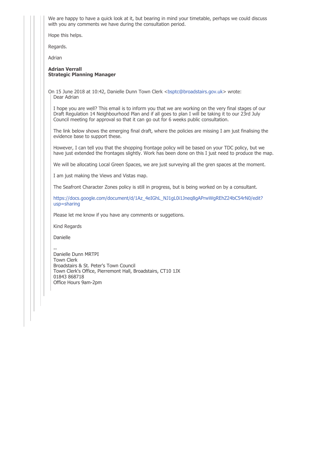We are happy to have a quick look at it, but bearing in mind your timetable, perhaps we could discuss with you any comments we have during the consultation period.

Hope this helps.

Regards.

Adrian

#### **Adrian Verrall Strategic Planning Manager**

On 15 June 2018 at 10:42, Danielle Dunn Town Clerk <br/> <br/> <br/>Sbroadstairs.gov.uk> wrote: Dear Adrian

I hope you are well? This email is to inform you that we are working on the very final stages of our Draft Regulation 14 Neighbourhood Plan and if all goes to plan I will be taking it to our 23rd July Council meeting for approval so that it can go out for 6 weeks public consultation.

The link below shows the emerging final draft, where the policies are missing I am just finalising the evidence base to support these.

However, I can tell you that the shopping frontage policy will be based on your TDC policy, but we have just extended the frontages slightly. Work has been done on this I just need to produce the map.

We will be allocating Local Green Spaces, we are just surveying all the gren spaces at the moment.

I am just making the Views and Vistas map.

The Seafront Character Zones policy is still in progress, but is being worked on by a consultant.

https://docs.google.com/document/d/1Az 4eIGhL\_NJ1qL0i1Jneq8qAPrwWqREhZ24bC54rN0/edit?  $usp = sharing$ 

Please let me know if you have any comments or suggetions.

Kind Regards

Danielle

Danielle Dunn MRTPI **Town Clerk** Broadstairs & St. Peter's Town Council Town Clerk's Office, Pierremont Hall, Broadstairs, CT10 1JX 01843 868718 Office Hours 9am-2pm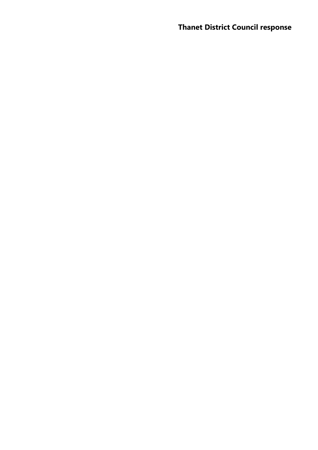## **Thanet District Council response**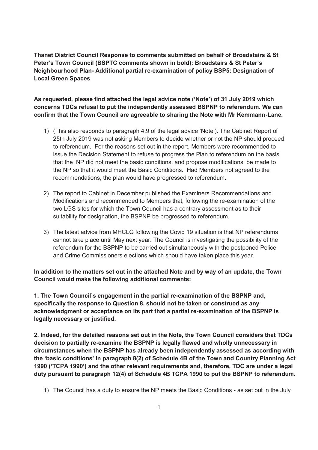**Thanet District Council Response to comments submitted on behalf of Broadstairs & St Peter's Town Council (BSPTC comments shown in bold): Broadstairs & St Peter's Neighbourhood Plan- Additional partial re-examination of policy BSP5: Designation of Local Green Spaces** 

**As requested, please find attached the legal advice note ('Note') of 31 July 2019 which concerns TDCs refusal to put the independently assessed BSPNP to referendum. We can confirm that the Town Council are agreeable to sharing the Note with Mr Kemmann-Lane.** 

- 1) (This also responds to paragraph 4.9 of the legal advice 'Note'). The Cabinet Report of 25th July 2019 was not asking Members to decide whether or not the NP should proceed to referendum. For the reasons set out in the report, Members were recommended to issue the Decision Statement to refuse to progress the Plan to referendum on the basis that the NP did not meet the basic conditions, and propose modifications be made to the NP so that it would meet the Basic Conditions. Had Members not agreed to the recommendations, the plan would have progressed to referendum.
- 2) The report to Cabinet in December published the Examiners Recommendations and Modifications and recommended to Members that, following the re-examination of the two LGS sites for which the Town Council has a contrary assessment as to their suitability for designation, the BSPNP be progressed to referendum.
- 3) The latest advice from MHCLG following the Covid 19 situation is that NP referendums cannot take place until May next year. The Council is investigating the possibility of the referendum for the BSPNP to be carried out simultaneously with the postponed Police and Crime Commissioners elections which should have taken place this year.

**In addition to the matters set out in the attached Note and by way of an update, the Town Council would make the following additional comments:** 

**1. The Town Council's engagement in the partial re-examination of the BSPNP and, specifically the response to Question 8, should not be taken or construed as any acknowledgment or acceptance on its part that a partial re-examination of the BSPNP is legally necessary or justified.**

**2. Indeed, for the detailed reasons set out in the Note, the Town Council considers that TDCs decision to partially re-examine the BSPNP is legally flawed and wholly unnecessary in circumstances when the BSPNP has already been independently assessed as according with the 'basic conditions' in paragraph 8(2) of Schedule 4B of the Town and Country Planning Act 1990 ('TCPA 1990') and the other relevant requirements and, therefore, TDC are under a legal duty pursuant to paragraph 12(4) of Schedule 4B TCPA 1990 to put the BSPNP to referendum.**

<sup>1)</sup> The Council has a duty to ensure the NP meets the Basic Conditions - as set out in the July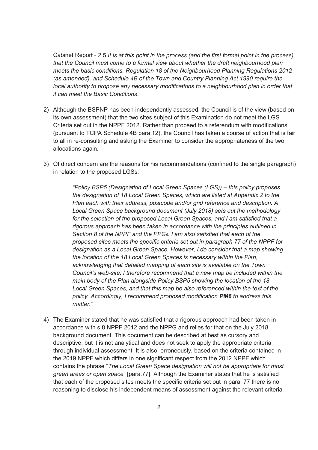Cabinet Report - 2.5 *It is at this point in the process (and the first formal point in the process) that the Council must come to a formal view about whether the draft neighbourhood plan meets the basic conditions. Regulation 18 of the Neighbourhood Planning Regulations 2012 (as amended), and Schedule 4B of the Town and Country Planning Act 1990 require the local authority to propose any necessary modifications to a neighbourhood plan in order that it can meet the Basic Conditions*.

- 2) Although the BSPNP has been independently assessed, the Council is of the view (based on its own assessment) that the two sites subject of this Examination do not meet the LGS Criteria set out in the NPPF 2012. Rather than proceed to a referendum with modifications (pursuant to TCPA Schedule 4B para.12), the Council has taken a course of action that is fair to all in re-consulting and asking the Examiner to consider the appropriateness of the two allocations again.
- 3) Of direct concern are the reasons for his recommendations (confined to the single paragraph) in relation to the proposed LGSs:

*"Policy BSP5 (Designation of Local Green Spaces (LGS)) – this policy proposes the designation of 18 Local Green Spaces, which are listed at Appendix 2 to the Plan each with their address, postcode and/or grid reference and description. A Local Green Space background document (July 2018) sets out the methodology for the selection of the proposed Local Green Spaces, and I am satisfied that a rigorous approach has been taken in accordance with the principles outlined in Section 8 of the NPPF and the PPG6. I am also satisfied that each of the proposed sites meets the specific criteria set out in paragraph 77 of the NPPF for designation as a Local Green Space. However, I do consider that a map showing the location of the 18 Local Green Spaces is necessary within the Plan, acknowledging that detailed mapping of each site is available on the Town Council's web-site. I therefore recommend that a new map be included within the main body of the Plan alongside Policy BSP5 showing the location of the 18*  Local Green Spaces, and that this map be also referenced within the text of the *policy. Accordingly, I recommend proposed modification PM6 to address this matter.*"

4) The Examiner stated that he was satisfied that a rigorous approach had been taken in accordance with s.8 NPPF 2012 and the NPPG and relies for that on the July 2018 background document. This document can be described at best as cursory and descriptive, but it is not analytical and does not seek to apply the appropriate criteria through individual assessment. It is also, erroneously, based on the criteria contained in the 2019 NPPF which differs in one significant respect from the 2012 NPPF which contains the phrase "*The Local Green Space designation will not be appropriate for most green areas or open space*" [para.77]. Although the Examiner states that he is satisfied that each of the proposed sites meets the specific criteria set out in para. 77 there is no reasoning to disclose his independent means of assessment against the relevant criteria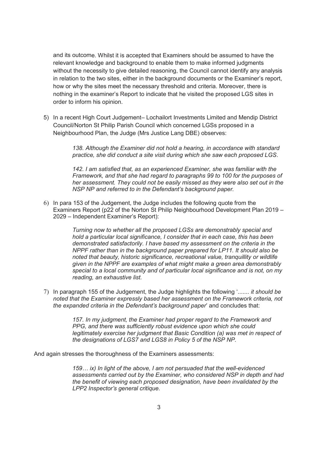and its outcome. Whilst it is accepted that Examiners should be assumed to have the relevant knowledge and background to enable them to make informed judgments without the necessity to give detailed reasoning, the Council cannot identify any analysis in relation to the two sites, either in the background documents or the Examiner's report, how or why the sites meet the necessary threshold and criteria. Moreover, there is nothing in the examiner's Report to indicate that he visited the proposed LGS sites in order to inform his opinion.

5) In a recent High Court Judgement– Lochailort Investments Limited and Mendip District Council/Norton St Philip Parish Council which concerned LGSs proposed in a Neighbourhood Plan, the Judge (Mrs Justice Lang DBE) observes:

> *138. Although the Examiner did not hold a hearing, in accordance with standard practice, she did conduct a site visit during which she saw each proposed LGS*.

*142. I am satisfied that, as an experienced Examiner, she was familiar with the Framework, and that she had regard to paragraphs 99 to 100 for the purposes of her assessment. They could not be easily missed as they were also set out in the NSP NP and referred to in the Defendant's background paper.*

6) In para 153 of the Judgement, the Judge includes the following quote from the Examiners Report (p22 of the Norton St Philip Neighbourhood Development Plan 2019 – 2029 – Independent Examiner's Report):

> *Turning now to whether all the proposed LGSs are demonstrably special and hold a particular local significance, I consider that in each case, this has been demonstrated satisfactorily. I have based my assessment on the criteria in the NPPF rather than in the background paper prepared for LP11. It should also be noted that beauty, historic significance, recreational value, tranquillity or wildlife given in the NPPF are examples of what might make a green area demonstrably special to a local community and of particular local significance and is not, on my reading, an exhaustive list.*

7) In paragraph 155 of the Judgement, the Judge highlights the following '....... *it should be noted that the Examiner expressly based her assessment on the Framework criteria, not the expanded criteria in the Defendant's background paper*' and concludes that:

> *157. In my judgment, the Examiner had proper regard to the Framework and PPG, and there was sufficiently robust evidence upon which she could legitimately exercise her judgment that Basic Condition (a) was met in respect of the designations of LGS7 and LGS8 in Policy 5 of the NSP NP.*

And again stresses the thoroughness of the Examiners assessments:

*159… ix) In light of the above, I am not persuaded that the well-evidenced assessments carried out by the Examiner, who considered NSP in depth and had the benefit of viewing each proposed designation, have been invalidated by the LPP2 Inspector's general critique.*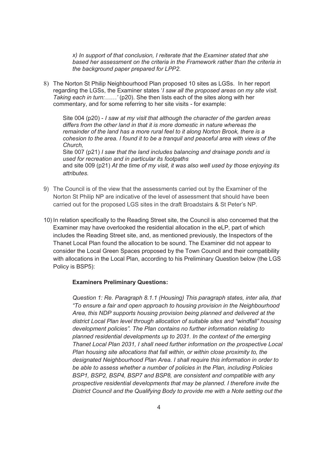*x) In support of that conclusion, I reiterate that the Examiner stated that she based her assessment on the criteria in the Framework rather than the criteria in the background paper prepared for LPP2.*

8) The Norton St Philip Neighbourhood Plan proposed 10 sites as LGSs. In her report regarding the LGSs, the Examiner states '*I saw all the proposed areas on my site visit. Taking each in turn:……'* (p20). She then lists each of the sites along with her commentary, and for some referring to her site visits - for example:

Site 004 (p20) - *I saw at my visit that although the character of the garden areas differs from the other land in that it is more domestic in nature whereas the remainder of the land has a more rural feel to it along Norton Brook, there is a cohesion to the area. I found it to be a tranquil and peaceful area with views of the Church,*  Site 007 (p21) *I saw that the land includes balancing and drainage ponds and is used for recreation and in particular its footpaths* and site 009 (p21) *At the time of my visit, it was also well used by those enjoying its* 

- 9) The Council is of the view that the assessments carried out by the Examiner of the Norton St Philip NP are indicative of the level of assessment that should have been carried out for the proposed LGS sites in the draft Broadstairs & St Peter's NP.
- 10) In relation specifically to the Reading Street site, the Council is also concerned that the Examiner may have overlooked the residential allocation in the eLP, part of which includes the Reading Street site, and, as mentioned previously, the Inspectors of the Thanet Local Plan found the allocation to be sound. The Examiner did not appear to consider the Local Green Spaces proposed by the Town Council and their compatibility with allocations in the Local Plan, according to his Preliminary Question below (the LGS Policy is BSP5):

#### **Examiners Preliminary Questions:**

*attributes.*

*Question 1: Re. Paragraph 8.1.1 (Housing) This paragraph states, inter alia, that "To ensure a fair and open approach to housing provision in the Neighbourhood Area, this NDP supports housing provision being planned and delivered at the district Local Plan level through allocation of suitable sites and "windfall" housing development policies". The Plan contains no further information relating to planned residential developments up to 2031. In the context of the emerging Thanet Local Plan 2031, I shall need further information on the prospective Local Plan housing site allocations that fall within, or within close proximity to, the designated Neighbourhood Plan Area. I shall require this information in order to be able to assess whether a number of policies in the Plan, including Policies BSP1, BSP2, BSP4, BSP7 and BSP8, are consistent and compatible with any prospective residential developments that may be planned. I therefore invite the District Council and the Qualifying Body to provide me with a Note setting out the*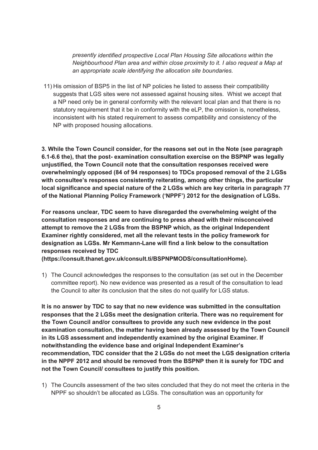*presently identified prospective Local Plan Housing Site allocations within the Neighbourhood Plan area and within close proximity to it. I also request a Map at an appropriate scale identifying the allocation site boundaries.* 

11) His omission of BSP5 in the list of NP policies he listed to assess their compatibility suggests that LGS sites were not assessed against housing sites. Whist we accept that a NP need only be in general conformity with the relevant local plan and that there is no statutory requirement that it be in conformity with the eLP, the omission is, nonetheless, inconsistent with his stated requirement to assess compatibility and consistency of the NP with proposed housing allocations.

**3. While the Town Council consider, for the reasons set out in the Note (see paragraph 6.1-6.6 the), that the post- examination consultation exercise on the BSPNP was legally unjustified, the Town Council note that the consultation responses received were overwhelmingly opposed (84 of 94 responses) to TDCs proposed removal of the 2 LGSs with consultee's responses consistently reiterating, among other things, the particular local significance and special nature of the 2 LGSs which are key criteria in paragraph 77 of the National Planning Policy Framework ('NPPF') 2012 for the designation of LGSs.**

**For reasons unclear, TDC seem to have disregarded the overwhelming weight of the consultation responses and are continuing to press ahead with their misconceived attempt to remove the 2 LGSs from the BSPNP which, as the original Independent Examiner rightly considered, met all the relevant tests in the policy framework for designation as LGSs. Mr Kemmann-Lane will find a link below to the consultation responses received by TDC** 

**(https://consult.thanet.gov.uk/consult.ti/BSPNPMODS/consultationHome).** 

1) The Council acknowledges the responses to the consultation (as set out in the December committee report). No new evidence was presented as a result of the consultation to lead the Council to alter its conclusion that the sites do not qualify for LGS status.

**It is no answer by TDC to say that no new evidence was submitted in the consultation responses that the 2 LGSs meet the designation criteria. There was no requirement for the Town Council and/or consultees to provide any such new evidence in the post examination consultation, the matter having been already assessed by the Town Council in its LGS assessment and independently examined by the original Examiner. If notwithstanding the evidence base and original Independent Examiner's recommendation, TDC consider that the 2 LGSs do not meet the LGS designation criteria in the NPPF 2012 and should be removed from the BSPNP then it is surely for TDC and not the Town Council/ consultees to justify this position.** 

1) The Councils assessment of the two sites concluded that they do not meet the criteria in the NPPF so shouldn't be allocated as LGSs. The consultation was an opportunity for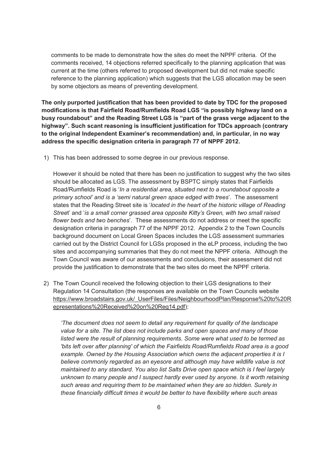comments to be made to demonstrate how the sites do meet the NPPF criteria. Of the comments received, 14 objections referred specifically to the planning application that was current at the time (others referred to proposed development but did not make specific reference to the planning application) which suggests that the LGS allocation may be seen by some objectors as means of preventing development.

**The only purported justification that has been provided to date by TDC for the proposed modifications is that Fairfield Road/Rumfields Road LGS "is possibly highway land on a busy roundabout" and the Reading Street LGS is "part of the grass verge adjacent to the highway". Such scant reasoning is insufficient justification for TDCs approach (contrary to the original Independent Examiner's recommendation) and, in particular, in no way address the specific designation criteria in paragraph 77 of NPPF 2012.** 

1) This has been addressed to some degree in our previous response.

However it should be noted that there has been no justification to suggest why the two sites should be allocated as LGS. The assessment by BSPTC simply states that Fairfields Road/Rumfields Road is '*In a residential area, situated next to a roundabout opposite a primary school' and is a 'semi natural green space edged with trees*'. The assessment states that the Reading Street site is '*located in the heart of the historic village of Reading Stree*t' and '*is a small corner grassed area opposite Kitty's Green, with two small raised flower beds and two benches*'. These assessments do not address or meet the specific designation criteria in paragraph 77 of the NPPF 2012. Appendix 2 to the Town Councils background document on Local Green Spaces includes the LGS assessment summaries carried out by the District Council for LGSs proposed in the eLP process, including the two sites and accompanying summaries that they do not meet the NPPF criteria. Although the Town Council was aware of our assessments and conclusions, their assessment did not provide the justification to demonstrate that the two sites do meet the NPPF criteria.

2) The Town Council received the following objection to their LGS designations to their Regulation 14 Consultation (the responses are available on the Town Councils website https://www.broadstairs.gov.uk/\_UserFiles/Files/NeighbourhoodPlan/Response%20to%20R epresentations%20Received%20on%20Reg14.pdf):

*'The document does not seem to detail any requirement for quality of the landscape value for a site. The list does not include parks and open spaces and many of those listed were the result of planning requirements. Some were what used to be termed as 'bits left over after planning' of which the Fairfields Road/Rumfields Road area is a good example. Owned by the Housing Association which owns the adjacent properties it is I believe commonly regarded as an eyesore and although may have wildlife value is not maintained to any standard. You also list Salts Drive open space which is I feel largely unknown to many people and I suspect hardly ever used by anyone. Is it worth retaining such areas and requiring them to be maintained when they are so hidden. Surely in these financially difficult times it would be better to have flexibility where such areas*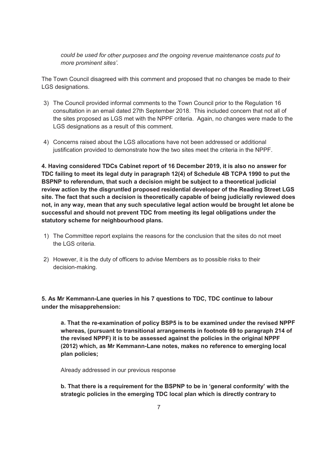*could be used for other purposes and the ongoing revenue maintenance costs put to more prominent sites'.*

The Town Council disagreed with this comment and proposed that no changes be made to their LGS designations.

- 3) The Council provided informal comments to the Town Council prior to the Regulation 16 consultation in an email dated 27th September 2018. This included concern that not all of the sites proposed as LGS met with the NPPF criteria. Again, no changes were made to the LGS designations as a result of this comment.
- 4) Concerns raised about the LGS allocations have not been addressed or additional justification provided to demonstrate how the two sites meet the criteria in the NPPF.

**4. Having considered TDCs Cabinet report of 16 December 2019, it is also no answer for TDC failing to meet its legal duty in paragraph 12(4) of Schedule 4B TCPA 1990 to put the BSPNP to referendum, that such a decision might be subject to a theoretical judicial review action by the disgruntled proposed residential developer of the Reading Street LGS site. The fact that such a decision is theoretically capable of being judicially reviewed does not, in any way, mean that any such speculative legal action would be brought let alone be successful and should not prevent TDC from meeting its legal obligations under the statutory scheme for neighbourhood plans.**

- 1) The Committee report explains the reasons for the conclusion that the sites do not meet the LGS criteria.
- 2) However, it is the duty of officers to advise Members as to possible risks to their decision-making.

**5. As Mr Kemmann-Lane queries in his 7 questions to TDC, TDC continue to labour under the misapprehension:**

**a. That the re-examination of policy BSP5 is to be examined under the revised NPPF whereas, (pursuant to transitional arrangements in footnote 69 to paragraph 214 of the revised NPPF) it is to be assessed against the policies in the original NPPF (2012) which, as Mr Kemmann-Lane notes, makes no reference to emerging local plan policies;**

Already addressed in our previous response

**b. That there is a requirement for the BSPNP to be in 'general conformity' with the strategic policies in the emerging TDC local plan which is directly contrary to**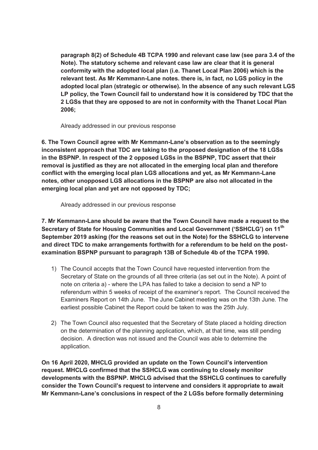**paragraph 8(2) of Schedule 4B TCPA 1990 and relevant case law (see para 3.4 of the Note). The statutory scheme and relevant case law are clear that it is general conformity with the adopted local plan (i.e. Thanet Local Plan 2006) which is the relevant test. As Mr Kemmann-Lane notes. there is, in fact, no LGS policy in the adopted local plan (strategic or otherwise). In the absence of any such relevant LGS LP policy, the Town Council fail to understand how it is considered by TDC that the 2 LGSs that they are opposed to are not in conformity with the Thanet Local Plan 2006;** 

Already addressed in our previous response

**6. The Town Council agree with Mr Kemmann-Lane's observation as to the seemingly inconsistent approach that TDC are taking to the proposed designation of the 18 LGSs in the BSPNP. In respect of the 2 opposed LGSs in the BSPNP, TDC assert that their removal is justified as they are not allocated in the emerging local plan and therefore conflict with the emerging local plan LGS allocations and yet, as Mr Kemmann-Lane notes, other unopposed LGS allocations in the BSPNP are also not allocated in the emerging local plan and yet are not opposed by TDC;** 

Already addressed in our previous response

**7. Mr Kemmann-Lane should be aware that the Town Council have made a request to the Secretary of State for Housing Communities and Local Government ('SSHCLG') on 11th September 2019 asking (for the reasons set out in the Note) for the SSHCLG to intervene and direct TDC to make arrangements forthwith for a referendum to be held on the postexamination BSPNP pursuant to paragraph 13B of Schedule 4b of the TCPA 1990.** 

- 1) The Council accepts that the Town Council have requested intervention from the Secretary of State on the grounds of all three criteria (as set out in the Note). A point of note on criteria a) - where the LPA has failed to take a decision to send a NP to referendum within 5 weeks of receipt of the examiner's report. The Council received the Examiners Report on 14th June. The June Cabinet meeting was on the 13th June. The earliest possible Cabinet the Report could be taken to was the 25th July.
- 2) The Town Council also requested that the Secretary of State placed a holding direction on the determination of the planning application, which, at that time, was still pending decision. A direction was not issued and the Council was able to determine the application.

**On 16 April 2020, MHCLG provided an update on the Town Council's intervention request. MHCLG confirmed that the SSHCLG was continuing to closely monitor developments with the BSPNP. MHCLG advised that the SSHCLG continues to carefully consider the Town Council's request to intervene and considers it appropriate to await Mr Kemmann-Lane's conclusions in respect of the 2 LGSs before formally determining**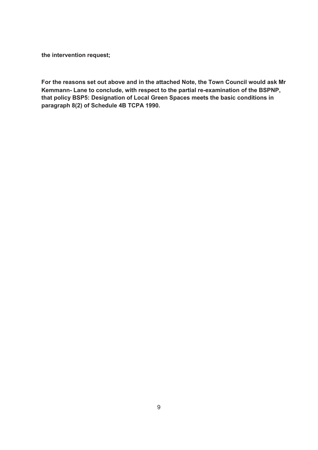**the intervention request;** 

**For the reasons set out above and in the attached Note, the Town Council would ask Mr Kemmann- Lane to conclude, with respect to the partial re-examination of the BSPNP, that policy BSP5: Designation of Local Green Spaces meets the basic conditions in paragraph 8(2) of Schedule 4B TCPA 1990.**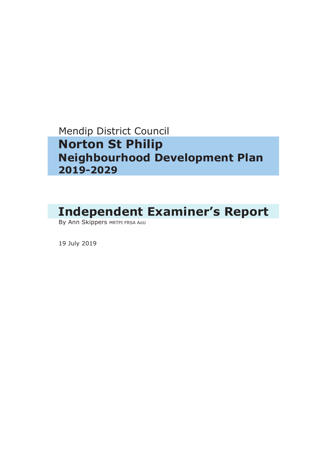# Mendip District Council  **Norton St Philip Neighbourhood Development Plan 2019-2029**

# **Independent Examiner's Report**

By Ann Skippers MRTPI FRSA AOU

19 July 2019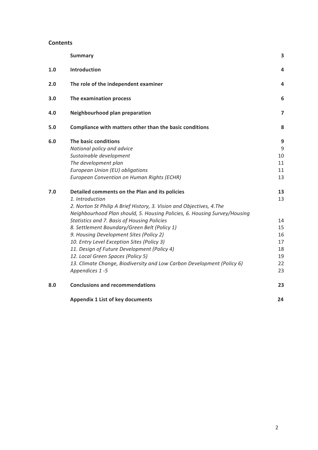#### **Contents**

|     | <b>Summary</b>                                                            | 3              |
|-----|---------------------------------------------------------------------------|----------------|
| 1.0 | Introduction                                                              | 4              |
| 2.0 | The role of the independent examiner                                      | 4              |
| 3.0 | The examination process                                                   | 6              |
| 4.0 | Neighbourhood plan preparation                                            | $\overline{7}$ |
| 5.0 | Compliance with matters other than the basic conditions                   | 8              |
| 6.0 | The basic conditions                                                      | 9              |
|     | National policy and advice                                                | 9              |
|     | Sustainable development                                                   | 10             |
|     | The development plan                                                      | 11             |
|     | European Union (EU) obligations                                           | 11             |
|     | European Convention on Human Rights (ECHR)                                | 13             |
| 7.0 | Detailed comments on the Plan and its policies                            | 13             |
|     | 1. Introduction                                                           | 13             |
|     | 2. Norton St Philip A Brief History, 3. Vision and Objectives, 4. The     |                |
|     | Neighbourhood Plan should, 5. Housing Policies, 6. Housing Survey/Housing |                |
|     | Statistics and 7. Basis of Housing Policies                               | 14             |
|     | 8. Settlement Boundary/Green Belt (Policy 1)                              | 15             |
|     | 9. Housing Development Sites (Policy 2)                                   | 16             |
|     | 10. Entry Level Exception Sites (Policy 3)                                | 17             |
|     | 11. Design of Future Development (Policy 4)                               | 18             |
|     | 12. Local Green Spaces (Policy 5)                                         | 19             |
|     | 13. Climate Change, Biodiversity and Low Carbon Development (Policy 6)    | 22             |
|     | Appendices 1-5                                                            | 23             |
| 8.0 | <b>Conclusions and recommendations</b>                                    | 23             |
|     | <b>Appendix 1 List of key documents</b>                                   | 24             |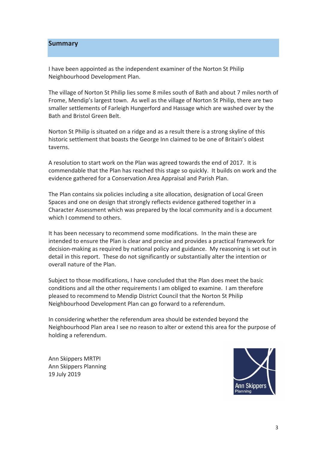## **Summary**

I have been appointed as the independent examiner of the Norton St Philip Neighbourhood Development Plan.

The village of Norton St Philip lies some 8 miles south of Bath and about 7 miles north of Frome, Mendip's largest town. As well as the village of Norton St Philip, there are two smaller settlements of Farleigh Hungerford and Hassage which are washed over by the **Bath and Bristol Green Belt** 

Norton St Philip is situated on a ridge and as a result there is a strong skyline of this historic settlement that boasts the George Inn claimed to be one of Britain's oldest taverns.

A resolution to start work on the Plan was agreed towards the end of 2017. It is commendable that the Plan has reached this stage so quickly. It builds on work and the evidence gathered for a Conservation Area Appraisal and Parish Plan.

The Plan contains six policies including a site allocation, designation of Local Green Spaces and one on design that strongly reflects evidence gathered together in a Character Assessment which was prepared by the local community and is a document which I commend to others.

It has been necessary to recommend some modifications. In the main these are intended to ensure the Plan is clear and precise and provides a practical framework for decision-making as required by national policy and guidance. My reasoning is set out in detail in this report. These do not significantly or substantially alter the intention or overall nature of the Plan

Subject to those modifications, I have concluded that the Plan does meet the basic conditions and all the other requirements I am obliged to examine. I am therefore pleased to recommend to Mendip District Council that the Norton St Philip Neighbourhood Development Plan can go forward to a referendum.

In considering whether the referendum area should be extended bevond the Neighbourhood Plan area I see no reason to alter or extend this area for the purpose of holding a referendum.

Ann Skippers MRTPI Ann Skippers Planning 19 July 2019

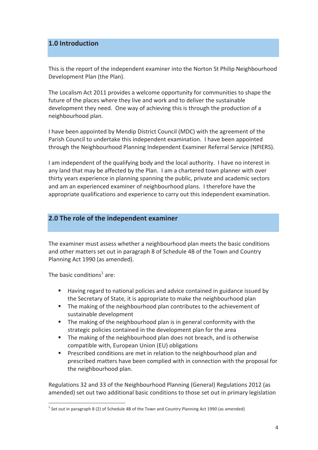## 1.0 Introduction

This is the report of the independent examiner into the Norton St Philip Neighbourhood Development Plan (the Plan).

The Localism Act 2011 provides a welcome opportunity for communities to shape the future of the places where they live and work and to deliver the sustainable development they need. One way of achieving this is through the production of a neighbourhood plan.

I have been appointed by Mendip District Council (MDC) with the agreement of the Parish Council to undertake this independent examination. I have been appointed through the Neighbourhood Planning Independent Examiner Referral Service (NPIERS).

I am independent of the qualifying body and the local authority. I have no interest in any land that may be affected by the Plan. I am a chartered town planner with over thirty years experience in planning spanning the public, private and academic sectors and am an experienced examiner of neighbourhood plans. I therefore have the appropriate qualifications and experience to carry out this independent examination.

## 2.0 The role of the independent examiner

The examiner must assess whether a neighbourhood plan meets the basic conditions and other matters set out in paragraph 8 of Schedule 4B of the Town and Country Planning Act 1990 (as amended).

The basic conditions<sup>1</sup> are:

- Having regard to national policies and advice contained in guidance issued by  $\mathbf{R}^{(1)}$ the Secretary of State, it is appropriate to make the neighbourhood plan
- The making of the neighbourhood plan contributes to the achievement of sustainable development
- $\mathbf{u}$  . The making of the neighbourhood plan is in general conformity with the strategic policies contained in the development plan for the area
- The making of the neighbourhood plan does not breach, and is otherwise compatible with, European Union (EU) obligations
- Prescribed conditions are met in relation to the neighbourhood plan and  $\mathbf{R}^{(1)}$ prescribed matters have been complied with in connection with the proposal for the neighbourhood plan.

Regulations 32 and 33 of the Neighbourhood Planning (General) Regulations 2012 (as amended) set out two additional basic conditions to those set out in primary legislation

 $^1$  Set out in paragraph 8 (2) of Schedule 4B of the Town and Country Planning Act 1990 (as amended)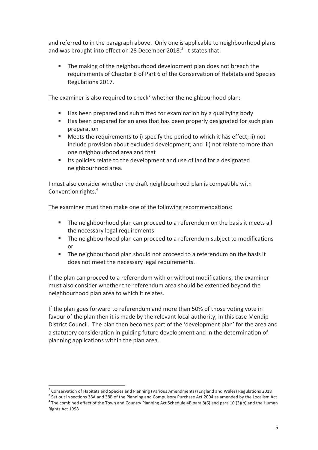and referred to in the paragraph above. Only one is applicable to neighbourhood plans and was brought into effect on 28 December 2018. $^2$  It states that:

The making of the neighbourhood development plan does not breach the requirements of Chapter 8 of Part 6 of the Conservation of Habitats and Species Regulations 2017.

The examiner is also required to check<sup>3</sup> whether the neighbourhood plan:

- Has been prepared and submitted for examination by a qualifying body  $\mathbf{u}$  .
- Has been prepared for an area that has been properly designated for such plan preparation
- $\mathbf{r}$ Meets the requirements to i) specify the period to which it has effect; ii) not include provision about excluded development; and iii) not relate to more than one neighbourhood area and that
- $\mathbf{u}$  . Its policies relate to the development and use of land for a designated neighbourhood area.

I must also consider whether the draft neighbourhood plan is compatible with Convention rights.<sup>4</sup>

The examiner must then make one of the following recommendations:

- The neighbourhood plan can proceed to a referendum on the basis it meets all the necessary legal requirements
- $\mathbf{u}$  . The neighbourhood plan can proceed to a referendum subject to modifications or
- $\mathbf{E}$ The neighbourhood plan should not proceed to a referendum on the basis it does not meet the necessary legal requirements.

If the plan can proceed to a referendum with or without modifications, the examiner must also consider whether the referendum area should be extended beyond the neighbourhood plan area to which it relates.

If the plan goes forward to referendum and more than 50% of those voting vote in favour of the plan then it is made by the relevant local authority, in this case Mendip District Council. The plan then becomes part of the 'development plan' for the area and a statutory consideration in guiding future development and in the determination of planning applications within the plan area.

<sup>&</sup>lt;sup>2</sup> Conservation of Habitats and Species and Planning (Various Amendments) (England and Wales) Regulations 2018

 $^3$  Set out in sections 38A and 38B of the Planning and Compulsory Purchase Act 2004 as amended by the Localism Act  $4$  The combined effect of the Town and Country Planning Act Schedule 4B para 8(6) and para 10 (3)(b) and the Human Rights Act 1998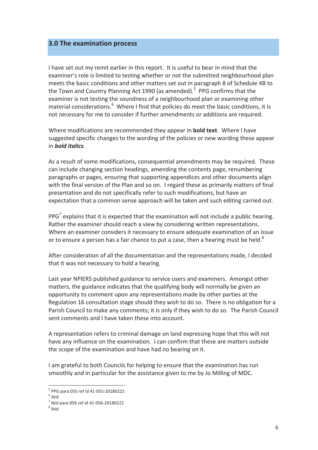## 3.0 The examination process

I have set out my remit earlier in this report. It is useful to bear in mind that the examiner's role is limited to testing whether or not the submitted neighbourhood plan meets the basic conditions and other matters set out in paragraph 8 of Schedule 4B to the Town and Country Planning Act 1990 (as amended).<sup>5</sup> PPG confirms that the examiner is not testing the soundness of a neighbourhood plan or examining other material considerations.<sup>6</sup> Where I find that policies do meet the basic conditions, it is not necessary for me to consider if further amendments or additions are required.

Where modifications are recommended they appear in **bold text**. Where I have suggested specific changes to the wording of the policies or new wording these appear in *hold italics* 

As a result of some modifications, consequential amendments may be required. These can include changing section headings, amending the contents page, renumbering paragraphs or pages, ensuring that supporting appendices and other documents align with the final version of the Plan and so on. I regard these as primarily matters of final presentation and do not specifically refer to such modifications, but have an expectation that a common sense approach will be taken and such editing carried out.

PPG $'$  explains that it is expected that the examination will not include a public hearing. Rather the examiner should reach a view by considering written representations. Where an examiner considers it necessary to ensure adequate examination of an issue or to ensure a person has a fair chance to put a case, then a hearing must be held.<sup>8</sup>

After consideration of all the documentation and the representations made, I decided that it was not necessary to hold a hearing.

Last year NPIERS published guidance to service users and examiners. Amongst other matters, the guidance indicates that the qualifying body will normally be given an opportunity to comment upon any representations made by other parties at the Regulation 16 consultation stage should they wish to do so. There is no obligation for a Parish Council to make any comments; it is only if they wish to do so. The Parish Council sent comments and I have taken these into account.

A representation refers to criminal damage on land expressing hope that this will not have any influence on the examination. I can confirm that these are matters outside the scope of the examination and have had no bearing on it.

I am grateful to both Councils for helping to ensure that the examination has run smoothly and in particular for the assistance given to me by Jo Milling of MDC.

 $5$  PPG para 055 ref id 41-055-20180222

 $6$  Ibid

 $7$  Ibid para 056 ref id 41-056-20180222

 $8$  Ibid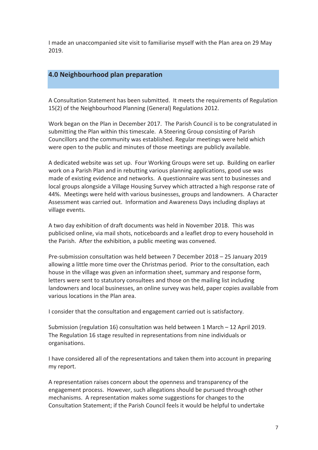I made an unaccompanied site visit to familiarise myself with the Plan area on 29 May 2019.

## 4.0 Neighbourhood plan preparation

A Consultation Statement has been submitted. It meets the requirements of Regulation 15(2) of the Neighbourhood Planning (General) Regulations 2012.

Work began on the Plan in December 2017. The Parish Council is to be congratulated in submitting the Plan within this timescale. A Steering Group consisting of Parish Councillors and the community was established. Regular meetings were held which were open to the public and minutes of those meetings are publicly available.

A dedicated website was set up. Four Working Groups were set up. Building on earlier work on a Parish Plan and in rebutting various planning applications, good use was made of existing evidence and networks. A questionnaire was sent to businesses and local groups alongside a Village Housing Survey which attracted a high response rate of 44%. Meetings were held with various businesses, groups and landowners. A Character Assessment was carried out. Information and Awareness Days including displays at village events.

A two day exhibition of draft documents was held in November 2018. This was publicised online, via mail shots, noticeboards and a leaflet drop to every household in the Parish. After the exhibition, a public meeting was convened.

Pre-submission consultation was held between 7 December 2018 - 25 January 2019 allowing a little more time over the Christmas period. Prior to the consultation, each house in the village was given an information sheet, summary and response form, letters were sent to statutory consultees and those on the mailing list including landowners and local businesses, an online survey was held, paper copies available from various locations in the Plan area.

I consider that the consultation and engagement carried out is satisfactory.

Submission (regulation 16) consultation was held between 1 March - 12 April 2019. The Regulation 16 stage resulted in representations from nine individuals or organisations.

I have considered all of the representations and taken them into account in preparing my report.

A representation raises concern about the openness and transparency of the engagement process. However, such allegations should be pursued through other mechanisms. A representation makes some suggestions for changes to the Consultation Statement; if the Parish Council feels it would be helpful to undertake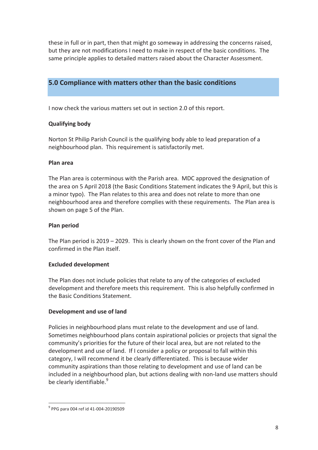these in full or in part, then that might go someway in addressing the concerns raised, but they are not modifications I need to make in respect of the basic conditions. The same principle applies to detailed matters raised about the Character Assessment.

## 5.0 Compliance with matters other than the basic conditions

I now check the various matters set out in section 2.0 of this report.

## **Qualifying body**

Norton St Philip Parish Council is the qualifying body able to lead preparation of a neighbourhood plan. This requirement is satisfactorily met.

## Plan area

The Plan area is coterminous with the Parish area. MDC approved the designation of the area on 5 April 2018 (the Basic Conditions Statement indicates the 9 April, but this is a minor typo). The Plan relates to this area and does not relate to more than one neighbourhood area and therefore complies with these requirements. The Plan area is shown on page 5 of the Plan.

## **Plan period**

The Plan period is  $2019 - 2029$ . This is clearly shown on the front cover of the Plan and confirmed in the Plan itself.

## **Excluded development**

The Plan does not include policies that relate to any of the categories of excluded development and therefore meets this requirement. This is also helpfully confirmed in the Basic Conditions Statement.

## Development and use of land

Policies in neighbourhood plans must relate to the development and use of land. Sometimes neighbourhood plans contain aspirational policies or projects that signal the community's priorities for the future of their local area, but are not related to the development and use of land. If I consider a policy or proposal to fall within this category, I will recommend it be clearly differentiated. This is because wider community aspirations than those relating to development and use of land can be included in a neighbourhood plan, but actions dealing with non-land use matters should be clearly identifiable.<sup>9</sup>

 $9$  PPG para 004 ref id 41-004-20190509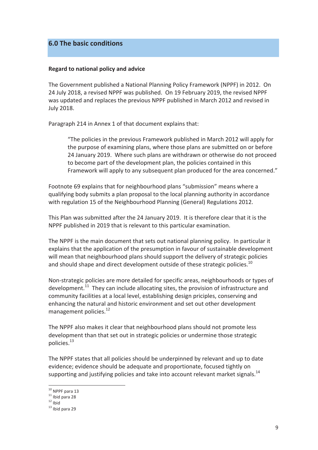## 6.0 The basic conditions

#### Regard to national policy and advice

The Government published a National Planning Policy Framework (NPPF) in 2012. On 24 July 2018, a revised NPPF was published. On 19 February 2019, the revised NPPF was updated and replaces the previous NPPF published in March 2012 and revised in **July 2018.** 

Paragraph 214 in Annex 1 of that document explains that:

"The policies in the previous Framework published in March 2012 will apply for the purpose of examining plans, where those plans are submitted on or before 24 January 2019. Where such plans are withdrawn or otherwise do not proceed to become part of the development plan, the policies contained in this Framework will apply to any subsequent plan produced for the area concerned."

Footnote 69 explains that for neighbourhood plans "submission" means where a qualifying body submits a plan proposal to the local planning authority in accordance with regulation 15 of the Neighbourhood Planning (General) Regulations 2012.

This Plan was submitted after the 24 January 2019. It is therefore clear that it is the NPPF published in 2019 that is relevant to this particular examination.

The NPPF is the main document that sets out national planning policy. In particular it explains that the application of the presumption in favour of sustainable development will mean that neighbourhood plans should support the delivery of strategic policies and should shape and direct development outside of these strategic policies.<sup>10</sup>

Non-strategic policies are more detailed for specific areas, neighbourhoods or types of development.<sup>11</sup> They can include allocating sites, the provision of infrastructure and community facilities at a local level, establishing design priciples, conserving and enhancing the natural and historic environment and set out other development management policies.<sup>12</sup>

The NPPF also makes it clear that neighbourhood plans should not promote less development than that set out in strategic policies or undermine those strategic policies.<sup>13</sup>

The NPPF states that all policies should be underpinned by relevant and up to date evidence; evidence should be adequate and proportionate, focused tightly on supporting and justifying policies and take into account relevant market signals.<sup>14</sup>

 $10$  NPPF para 13

 $11$  Ibid para 28

 $12$  ibid

 $13$  Ibid para 29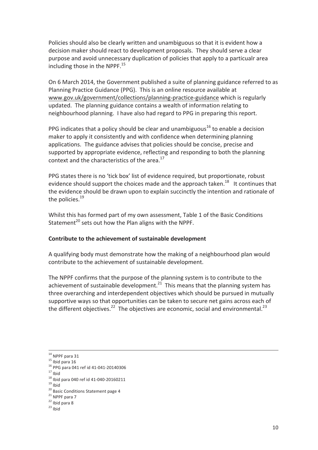Policies should also be clearly written and unambiguous so that it is evident how a decision maker should react to development proposals. They should serve a clear purpose and avoid unnecessary duplication of policies that apply to a particualr area including those in the NPPF.<sup>15</sup>

On 6 March 2014, the Government published a suite of planning guidance referred to as Planning Practice Guidance (PPG). This is an online resource available at www.gov.uk/government/collections/planning-practice-guidance which is regularly updated. The planning guidance contains a wealth of information relating to neighbourhood planning. I have also had regard to PPG in preparing this report.

PPG indicates that a policy should be clear and unambiguous<sup>16</sup> to enable a decision maker to apply it consistently and with confidence when determining planning applications. The guidance advises that policies should be concise, precise and supported by appropriate evidence, reflecting and responding to both the planning context and the characteristics of the area.<sup>17</sup>

PPG states there is no 'tick box' list of evidence required, but proportionate, robust evidence should support the choices made and the approach taken.<sup>18</sup> It continues that the evidence should be drawn upon to explain succinctly the intention and rationale of the policies. $19$ 

Whilst this has formed part of my own assessment, Table 1 of the Basic Conditions Statement<sup>20</sup> sets out how the Plan aligns with the NPPF.

#### Contribute to the achievement of sustainable development

A qualifying body must demonstrate how the making of a neighbourhood plan would contribute to the achievement of sustainable development.

The NPPF confirms that the purpose of the planning system is to contribute to the achievement of sustainable development.<sup>21</sup> This means that the planning system has three overarching and interdependent objectives which should be pursued in mutually supportive ways so that opportunities can be taken to secure net gains across each of the different objectives.<sup>22</sup> The objectives are economic, social and environmental.<sup>23</sup>

 $14$  NPPF para 31

 $15$  Ibid para 16

<sup>&</sup>lt;sup>16</sup> PPG para 041 ref id 41-041-20140306

 $17$  Ibid

 $^{18}$  Ibid para 040 ref id 41-040-20160211

 $19$  Ibid

<sup>&</sup>lt;sup>20</sup> Basic Conditions Statement page 4

 $21$  NPPF para 7

 $22$  Ibid para 8

 $23$  lbid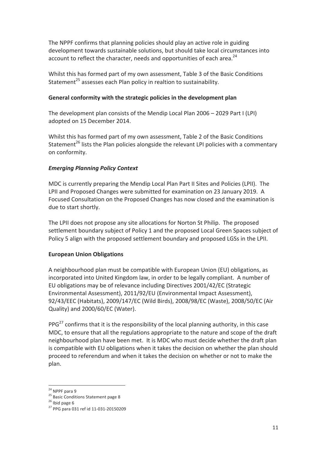The NPPF confirms that planning policies should play an active role in guiding development towards sustainable solutions, but should take local circumstances into account to reflect the character, needs and opportunities of each area.<sup>24</sup>

Whilst this has formed part of my own assessment, Table 3 of the Basic Conditions Statement<sup>25</sup> assesses each Plan policy in realtion to sustainability.

## General conformity with the strategic policies in the development plan

The development plan consists of the Mendip Local Plan 2006 - 2029 Part I (LPI) adopted on 15 December 2014.

Whilst this has formed part of my own assessment, Table 2 of the Basic Conditions Statement<sup>26</sup> lists the Plan policies alongside the relevant LPI policies with a commentary on conformity.

## **Emerging Planning Policy Context**

MDC is currently preparing the Mendip Local Plan Part II Sites and Policies (LPII). The LPII and Proposed Changes were submitted for examination on 23 January 2019. A Focused Consultation on the Proposed Changes has now closed and the examination is due to start shortly.

The LPII does not propose any site allocations for Norton St Philip. The proposed settlement boundary subject of Policy 1 and the proposed Local Green Spaces subject of Policy 5 align with the proposed settlement boundary and proposed LGSs in the LPII.

## **European Union Obligations**

A neighbourhood plan must be compatible with European Union (EU) obligations, as incorporated into United Kingdom law, in order to be legally compliant. A number of EU obligations may be of relevance including Directives 2001/42/EC (Strategic Environmental Assessment), 2011/92/EU (Environmental Impact Assessment), 92/43/EEC (Habitats), 2009/147/EC (Wild Birds), 2008/98/EC (Waste), 2008/50/EC (Air Quality) and 2000/60/EC (Water).

PPG<sup>27</sup> confirms that it is the responsibility of the local planning authority, in this case MDC, to ensure that all the regulations appropriate to the nature and scope of the draft neighbourhood plan have been met. It is MDC who must decide whether the draft plan is compatible with EU obligations when it takes the decision on whether the plan should proceed to referendum and when it takes the decision on whether or not to make the plan.

<sup>&</sup>lt;sup>24</sup> NPPF para 9

<sup>&</sup>lt;sup>25</sup> Basic Conditions Statement page 8

 $26$  Ibid page 6

<sup>&</sup>lt;sup>27</sup> PPG para 031 ref id 11-031-20150209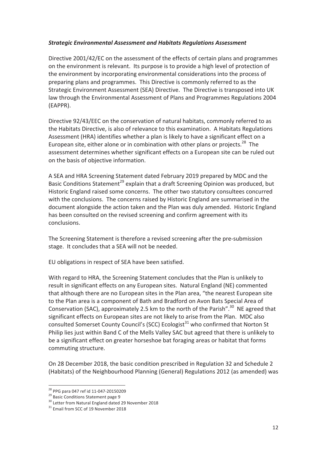## **Strategic Environmental Assessment and Habitats Regulations Assessment**

Directive 2001/42/EC on the assessment of the effects of certain plans and programmes on the environment is relevant. Its purpose is to provide a high level of protection of the environment by incorporating environmental considerations into the process of preparing plans and programmes. This Directive is commonly referred to as the Strategic Environment Assessment (SEA) Directive. The Directive is transposed into UK law through the Environmental Assessment of Plans and Programmes Regulations 2004 (EAPPR).

Directive 92/43/EEC on the conservation of natural habitats, commonly referred to as the Habitats Directive, is also of relevance to this examination. A Habitats Regulations Assessment (HRA) identifies whether a plan is likely to have a significant effect on a European site, either alone or in combination with other plans or projects.<sup>28</sup> The assessment determines whether significant effects on a European site can be ruled out on the basis of objective information.

A SEA and HRA Screening Statement dated February 2019 prepared by MDC and the Basic Conditions Statement<sup>29</sup> explain that a draft Screening Opinion was produced, but Historic England raised some concerns. The other two statutory consultees concurred with the conclusions. The concerns raised by Historic England are summarised in the document alongside the action taken and the Plan was duly amended. Historic England has been consulted on the revised screening and confirm agreement with its conclusions.

The Screening Statement is therefore a revised screening after the pre-submission stage. It concludes that a SEA will not be needed.

EU obligations in respect of SEA have been satisfied.

With regard to HRA, the Screening Statement concludes that the Plan is unlikely to result in significant effects on any European sites. Natural England (NE) commented that although there are no European sites in the Plan area, "the nearest European site to the Plan area is a component of Bath and Bradford on Avon Bats Special Area of Conservation (SAC), approximately 2.5 km to the north of the Parish".<sup>30</sup> NE agreed that significant effects on European sites are not likely to arise from the Plan. MDC also consulted Somerset County Council's (SCC) Ecologist<sup>31</sup> who confirmed that Norton St Philip lies just within Band C of the Mells Valley SAC but agreed that there is unlikely to be a significant effect on greater horseshoe bat foraging areas or habitat that forms commuting structure.

On 28 December 2018, the basic condition prescribed in Regulation 32 and Schedule 2 (Habitats) of the Neighbourhood Planning (General) Regulations 2012 (as amended) was

<sup>&</sup>lt;sup>28</sup> PPG para 047 ref id 11-047-20150209

<sup>&</sup>lt;sup>29</sup> Basic Conditions Statement page 9

<sup>&</sup>lt;sup>30</sup> Letter from Natural England dated 29 November 2018

<sup>&</sup>lt;sup>31</sup> Email from SCC of 19 November 2018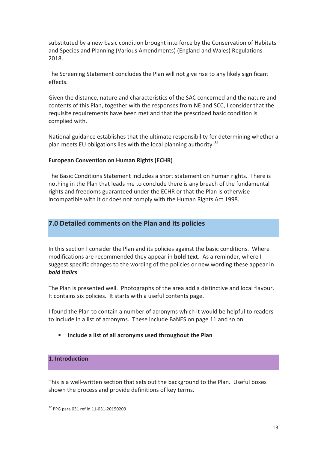substituted by a new basic condition brought into force by the Conservation of Habitats and Species and Planning (Various Amendments) (England and Wales) Regulations 2018.

The Screening Statement concludes the Plan will not give rise to any likely significant effects.

Given the distance, nature and characteristics of the SAC concerned and the nature and contents of this Plan, together with the responses from NE and SCC, I consider that the requisite requirements have been met and that the prescribed basic condition is complied with.

National guidance establishes that the ultimate responsibility for determining whether a plan meets EU obligations lies with the local planning authoritv.<sup>32</sup>

## **European Convention on Human Rights (ECHR)**

The Basic Conditions Statement includes a short statement on human rights. There is nothing in the Plan that leads me to conclude there is any breach of the fundamental rights and freedoms guaranteed under the ECHR or that the Plan is otherwise incompatible with it or does not comply with the Human Rights Act 1998.

## 7.0 Detailed comments on the Plan and its policies

In this section I consider the Plan and its policies against the basic conditions. Where modifications are recommended they appear in **bold text**. As a reminder, where I suggest specific changes to the wording of the policies or new wording these appear in **bold italics.** 

The Plan is presented well. Photographs of the area add a distinctive and local flavour. It contains six policies. It starts with a useful contents page.

I found the Plan to contain a number of acronyms which it would be helpful to readers to include in a list of acronyms. These include BaNES on page 11 and so on.

Include a list of all acronyms used throughout the Plan

## 1. Introduction

This is a well-written section that sets out the background to the Plan. Useful boxes shown the process and provide definitions of key terms.

<sup>&</sup>lt;sup>32</sup> PPG para 031 ref id 11-031-20150209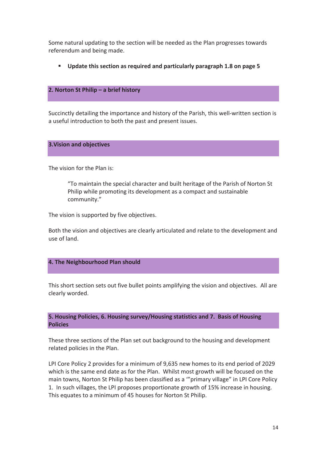Some natural updating to the section will be needed as the Plan progresses towards referendum and being made.

" Update this section as required and particularly paragraph 1.8 on page 5

## 2. Norton St Philip - a brief history

Succinctly detailing the importance and history of the Parish, this well-written section is a useful introduction to both the past and present issues.

#### **3. Vision and objectives**

The vision for the Plan is:

"To maintain the special character and built heritage of the Parish of Norton St Philip while promoting its development as a compact and sustainable community."

The vision is supported by five objectives.

Both the vision and objectives are clearly articulated and relate to the development and use of land.

## 4. The Neighbourhood Plan should

This short section sets out five bullet points amplifying the vision and objectives. All are clearly worded.

5. Housing Policies, 6. Housing survey/Housing statistics and 7. Basis of Housing **Policies** 

These three sections of the Plan set out background to the housing and development related policies in the Plan.

LPI Core Policy 2 provides for a minimum of 9,635 new homes to its end period of 2029 which is the same end date as for the Plan. Whilst most growth will be focused on the main towns. Norton St Philip has been classified as a ""primary village" in LPI Core Policy 1. In such villages, the LPI proposes proportionate growth of 15% increase in housing. This equates to a minimum of 45 houses for Norton St Philip.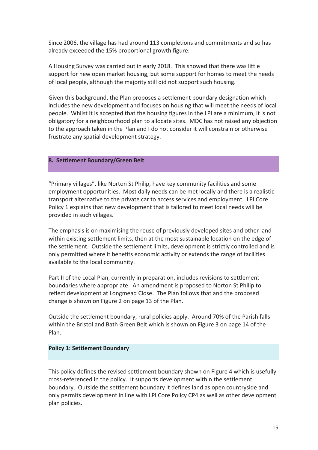Since 2006, the village has had around 113 completions and commitments and so has already exceeded the 15% proportional growth figure.

A Housing Survey was carried out in early 2018. This showed that there was little support for new open market housing, but some support for homes to meet the needs of local people, although the majority still did not support such housing.

Given this background, the Plan proposes a settlement boundary designation which includes the new development and focuses on housing that will meet the needs of local people. Whilst it is accepted that the housing figures in the LPI are a minimum, it is not obligatory for a neighbourhood plan to allocate sites. MDC has not raised any objection to the approach taken in the Plan and I do not consider it will constrain or otherwise frustrate any spatial development strategy.

#### 8. Settlement Boundary/Green Belt

"Primary villages", like Norton St Philip, have key community facilities and some employment opportunities. Most daily needs can be met locally and there is a realistic transport alternative to the private car to access services and employment. LPI Core Policy 1 explains that new development that is tailored to meet local needs will be provided in such villages.

The emphasis is on maximising the reuse of previously developed sites and other land within existing settlement limits, then at the most sustainable location on the edge of the settlement. Outside the settlement limits, development is strictly controlled and is only permitted where it benefits economic activity or extends the range of facilities available to the local community.

Part II of the Local Plan, currently in preparation, includes revisions to settlement boundaries where appropriate. An amendment is proposed to Norton St Philip to reflect development at Longmead Close. The Plan follows that and the proposed change is shown on Figure 2 on page 13 of the Plan.

Outside the settlement boundary, rural policies apply. Around 70% of the Parish falls within the Bristol and Bath Green Belt which is shown on Figure 3 on page 14 of the Plan.

## **Policy 1: Settlement Boundary**

This policy defines the revised settlement boundary shown on Figure 4 which is usefully cross-referenced in the policy. It supports development within the settlement boundary. Outside the settlement boundary it defines land as open countryside and only permits development in line with LPI Core Policy CP4 as well as other development plan policies.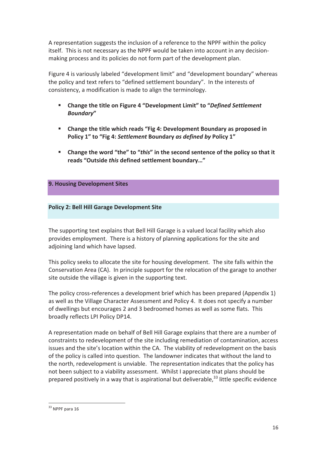A representation suggests the inclusion of a reference to the NPPF within the policy itself. This is not necessary as the NPPF would be taken into account in any decisionmaking process and its policies do not form part of the development plan.

Figure 4 is variously labeled "development limit" and "development boundary" whereas the policy and text refers to "defined settlement boundary". In the interests of consistency, a modification is made to align the terminology.

- Change the title on Figure 4 "Development Limit" to "Defined Settlement **Boundary"**
- $\mathbf{u}$  . Change the title which reads "Fig 4: Development Boundary as proposed in Policy 1" to "Fig 4: Settlement Boundary as defined by Policy 1"
- " Change the word "the" to "this" in the second sentence of the policy so that it reads "Outside this defined settlement boundary..."

## 9. Housing Development Sites

## **Policy 2: Bell Hill Garage Development Site**

The supporting text explains that Bell Hill Garage is a valued local facility which also provides employment. There is a history of planning applications for the site and adjoining land which have lapsed.

This policy seeks to allocate the site for housing development. The site falls within the Conservation Area (CA). In principle support for the relocation of the garage to another site outside the village is given in the supporting text.

The policy cross-references a development brief which has been prepared (Appendix 1) as well as the Village Character Assessment and Policy 4. It does not specify a number of dwellings but encourages 2 and 3 bedroomed homes as well as some flats. This broadly reflects LPI Policy DP14.

A representation made on behalf of Bell Hill Garage explains that there are a number of constraints to redevelopment of the site including remediation of contamination, access issues and the site's location within the CA. The viability of redevelopment on the basis of the policy is called into question. The landowner indicates that without the land to the north, redevelopment is unviable. The representation indicates that the policy has not been subject to a viability assessment. Whilst I appreciate that plans should be prepared positively in a way that is aspirational but deliverable.<sup>33</sup> little specific evidence

 $33$  NPPF para 16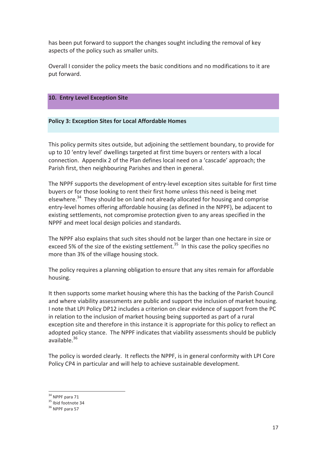has been put forward to support the changes sought including the removal of key aspects of the policy such as smaller units.

Overall I consider the policy meets the basic conditions and no modifications to it are put forward.

## 10. Entry Level Exception Site

## **Policy 3: Exception Sites for Local Affordable Homes**

This policy permits sites outside, but adjoining the settlement boundary, to provide for up to 10 'entry level' dwellings targeted at first time buyers or renters with a local connection. Appendix 2 of the Plan defines local need on a 'cascade' approach; the Parish first, then neighbouring Parishes and then in general.

The NPPF supports the development of entry-level exception sites suitable for first time buvers or for those looking to rent their first home unless this need is being met elsewhere.<sup>34</sup> They should be on land not already allocated for housing and comprise entry-level homes offering affordable housing (as defined in the NPPF), be adjacent to existing settlements, not compromise protection given to any areas specified in the NPPF and meet local design policies and standards.

The NPPF also explains that such sites should not be larger than one hectare in size or exceed 5% of the size of the existing settlement.<sup>35</sup> In this case the policy specifies no more than 3% of the village housing stock.

The policy requires a planning obligation to ensure that any sites remain for affordable housing.

It then supports some market housing where this has the backing of the Parish Council and where viability assessments are public and support the inclusion of market housing. I note that LPI Policy DP12 includes a criterion on clear evidence of support from the PC in relation to the inclusion of market housing being supported as part of a rural exception site and therefore in this instance it is appropriate for this policy to reflect an adopted policy stance. The NPPF indicates that viability assessments should be publicly available. $36$ 

The policy is worded clearly. It reflects the NPPF, is in general conformity with LPI Core Policy CP4 in particular and will help to achieve sustainable development.

<sup>&</sup>lt;sup>34</sup> NPPF para 71

 $35$  Ibid footnote 34

 $36$  NPPF para 57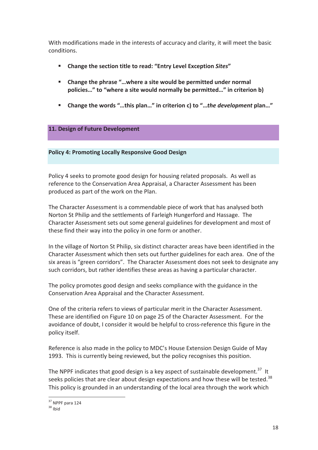With modifications made in the interests of accuracy and clarity, it will meet the basic conditions.

- Change the section title to read: "Entry Level Exception Sites" a.
- $\mathbf{r}$ Change the phrase "... where a site would be permitted under normal policies..." to "where a site would normally be permitted..." in criterion b)
- Change the words "...this plan..." in criterion c) to "...the development plan..."

## 11. Design of Future Development

**Policy 4: Promoting Locally Responsive Good Design** 

Policy 4 seeks to promote good design for housing related proposals. As well as reference to the Conservation Area Appraisal, a Character Assessment has been produced as part of the work on the Plan.

The Character Assessment is a commendable piece of work that has analysed both Norton St Philip and the settlements of Farleigh Hungerford and Hassage. The Character Assessment sets out some general guidelines for development and most of these find their way into the policy in one form or another.

In the village of Norton St Philip, six distinct character areas have been identified in the Character Assessment which then sets out further guidelines for each area. One of the six areas is "green corridors". The Character Assessment does not seek to designate any such corridors, but rather identifies these areas as having a particular character.

The policy promotes good design and seeks compliance with the guidance in the Conservation Area Appraisal and the Character Assessment.

One of the criteria refers to views of particular merit in the Character Assessment. These are identified on Figure 10 on page 25 of the Character Assessment. For the avoidance of doubt. I consider it would be helpful to cross-reference this figure in the policy itself.

Reference is also made in the policy to MDC's House Extension Design Guide of May 1993. This is currently being reviewed, but the policy recognises this position.

The NPPF indicates that good design is a key aspect of sustainable development.<sup>37</sup> It seeks policies that are clear about design expectations and how these will be tested.<sup>38</sup> This policy is grounded in an understanding of the local area through the work which

<sup>&</sup>lt;sup>37</sup> NPPF para 124

 $38$  lhid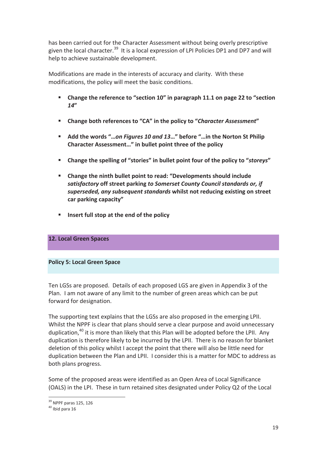has been carried out for the Character Assessment without being overly prescriptive given the local character.<sup>39</sup> It is a local expression of LPI Policies DP1 and DP7 and will help to achieve sustainable development.

Modifications are made in the interests of accuracy and clarity. With these modifications, the policy will meet the basic conditions.

- Change the reference to "section 10" in paragraph 11.1 on page 22 to "section  $14''$
- Change both references to "CA" in the policy to "Character Assessment"  $\mathbf{r}$
- $\mathbf{u}$  . Add the words "...on Figures 10 and 13..." before "...in the Norton St Philip Character Assessment..." in bullet point three of the policy
- $\mathbf{u}$  . Change the spelling of "stories" in bullet point four of the policy to "storeys"
- Change the ninth bullet point to read: "Developments should include satisfactory off street parking to Somerset County Council standards or, if superseded, any subsequent standards whilst not reducing existing on street car parking capacity"
- Insert full stop at the end of the policy m.

## **12. Local Green Spaces**

#### **Policy 5: Local Green Space**

Ten LGSs are proposed. Details of each proposed LGS are given in Appendix 3 of the Plan. I am not aware of any limit to the number of green areas which can be put forward for designation.

The supporting text explains that the LGSs are also proposed in the emerging LPII. Whilst the NPPF is clear that plans should serve a clear purpose and avoid unnecessary duplication.<sup>40</sup> it is more than likely that this Plan will be adopted before the LPII. Any duplication is therefore likely to be incurred by the LPII. There is no reason for blanket deletion of this policy whilst I accept the point that there will also be little need for duplication between the Plan and LPII. I consider this is a matter for MDC to address as both plans progress.

Some of the proposed areas were identified as an Open Area of Local Significance (OALS) in the LPI. These in turn retained sites designated under Policy Q2 of the Local

 $39$  NPPF paras 125, 126

 $40$  Ihid nara 16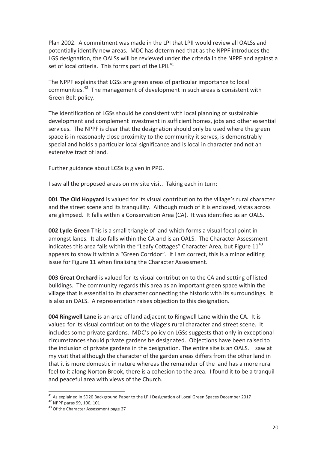Plan 2002. A commitment was made in the LPI that LPII would review all OALSs and potentially identify new areas. MDC has determined that as the NPPF introduces the LGS designation, the OALSs will be reviewed under the criteria in the NPPF and against a set of local criteria. This forms part of the LPII.<sup>41</sup>

The NPPF explains that LGSs are green areas of particular importance to local communities.<sup>42</sup> The management of development in such areas is consistent with Green Belt policy.

The identification of LGSs should be consistent with local planning of sustainable development and complement investment in sufficient homes, jobs and other essential services. The NPPF is clear that the designation should only be used where the green space is in reasonably close proximity to the community it serves, is demonstrably special and holds a particular local significance and is local in character and not an extensive tract of land.

Further guidance about LGSs is given in PPG.

I saw all the proposed areas on my site visit. Taking each in turn:

**001 The Old Hopyard** is valued for its visual contribution to the village's rural character and the street scene and its tranquility. Although much of it is enclosed, vistas across are glimpsed. It falls within a Conservation Area (CA). It was identified as an OALS.

002 Lyde Green This is a small triangle of land which forms a visual focal point in amongst lanes. It also falls within the CA and is an OALS. The Character Assessment indicates this area falls within the "Leafy Cottages" Character Area, but Figure 11<sup>43</sup> appears to show it within a "Green Corridor". If I am correct, this is a minor editing issue for Figure 11 when finalising the Character Assessment.

003 Great Orchard is valued for its visual contribution to the CA and setting of listed buildings. The community regards this area as an important green space within the village that is essential to its character connecting the historic with its surroundings. It is also an OALS. A representation raises objection to this designation.

004 Ringwell Lane is an area of land adjacent to Ringwell Lane within the CA. It is valued for its visual contribution to the vilage's rural character and street scene. It includes some private gardens. MDC's policy on LGSs suggests that only in exceptional circumstances should private gardens be designated. Objections have been raised to the inclusion of private gardens in the designation. The entire site is an OALS. I saw at my visit that although the character of the garden areas differs from the other land in that it is more domestic in nature whereas the remainder of the land has a more rural feel to it along Norton Brook, there is a cohesion to the area. I found it to be a tranguil and peaceful area with views of the Church.

 $41$  As explained in SD20 Background Paper to the LPII Designation of Local Green Spaces December 2017

<sup>&</sup>lt;sup>42</sup> NPPF paras 99, 100, 101

<sup>&</sup>lt;sup>43</sup> Of the Character Assessment page 27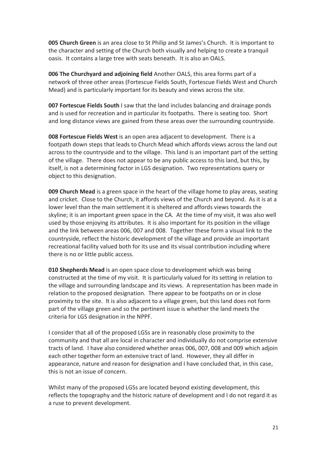005 Church Green is an area close to St Philip and St James's Church. It is important to the character and setting of the Church both visually and helping to create a tranguil oasis. It contains a large tree with seats beneath. It is also an OALS.

006 The Churchyard and adjoining field Another OALS, this area forms part of a network of three other areas (Fortescue Fields South, Fortescue Fields West and Church Mead) and is particularly important for its beauty and views across the site.

007 Fortescue Fields South I saw that the land includes balancing and drainage ponds and is used for recreation and in particular its footpaths. There is seating too. Short and long distance views are gained from these areas over the surrounding countryside.

008 Fortescue Fields West is an open area adjacent to development. There is a footpath down steps that leads to Church Mead which affords views across the land out across to the countryside and to the village. This land is an important part of the setting of the village. There does not appear to be any public access to this land, but this, by itself, is not a determining factor in LGS designation. Two representations query or object to this designation.

009 Church Mead is a green space in the heart of the village home to play areas, seating and cricket. Close to the Church, it affords views of the Church and bevond. As it is at a lower level than the main settlement it is sheltered and affords views towards the skyline; it is an important green space in the CA. At the time of my visit, it was also well used by those enjoying its attributes. It is also important for its position in the village and the link between areas 006, 007 and 008. Together these form a visual link to the countryside, reflect the historic development of the village and provide an important recreational facility valued both for its use and its visual contribution including where there is no or little public access.

010 Shepherds Mead is an open space close to development which was being constructed at the time of my visit. It is particularly valued for its setting in relation to the village and surrounding landscape and its views. A representation has been made in relation to the proposed designation. There appear to be footpaths on or in close proximity to the site. It is also adjacent to a village green, but this land does not form part of the village green and so the pertinent issue is whether the land meets the criteria for LGS designation in the NPPF.

I consider that all of the proposed LGSs are in reasonably close proximity to the community and that all are local in character and individually do not comprise extensive tracts of land. I have also considered whether areas 006, 007, 008 and 009 which adjoin each other together form an extensive tract of land. However, they all differ in appearance, nature and reason for designation and I have concluded that, in this case, this is not an issue of concern.

Whilst many of the proposed LGSs are located beyond existing development, this reflects the topography and the historic nature of development and I do not regard it as a ruse to prevent development.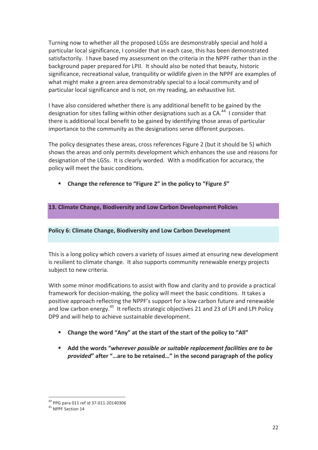Turning now to whether all the proposed LGSs are desmonstrably special and hold a particular local significance, I consider that in each case, this has been demonstrated satisfactorily. I have based my assessment on the criteria in the NPPF rather than in the background paper prepared for LPII. It should also be noted that beauty, historic significance, recreational value, tranguility or wildlife given in the NPPF are examples of what might make a green area demonstrably special to a local community and of particular local significance and is not, on my reading, an exhaustive list.

I have also considered whether there is any additional benefit to be gained by the designation for sites falling within other designations such as a CA.<sup>44</sup> I consider that there is additional local benefit to be gained by identifying those areas of particular importance to the community as the designations serve different purposes.

The policy designates these areas, cross references Figure 2 (but it should be 5) which shows the areas and only permits development which enhances the use and reasons for designation of the LGSs. It is clearly worded. With a modification for accuracy, the policy will meet the basic conditions.

Change the reference to "Figure 2" in the policy to "Figure 5"

## 13. Climate Change, Biodiversity and Low Carbon Development Policies

## Policy 6: Climate Change, Biodiversity and Low Carbon Development

This is a long policy which covers a variety of issues aimed at ensuring new development is resilient to climate change. It also supports community renewable energy projects subject to new criteria.

With some minor modifications to assist with flow and clarity and to provide a practical framework for decision-making, the policy will meet the basic conditions. It takes a positive approach reflecting the NPPF's support for a low carbon future and renewable and low carbon energy.<sup>45</sup> It reflects strategic objectives 21 and 23 of LPI and LPI Policy DP9 and will help to achieve sustainable development.

- Change the word "Any" at the start of the start of the policy to "All"
- Add the words "wherever possible or suitable replacement facilities are to be provided" after "...are to be retained..." in the second paragraph of the policy

<sup>&</sup>lt;sup>44</sup> PPG para 011 ref id 37-011-20140306

<sup>&</sup>lt;sup>45</sup> NPPF Section 14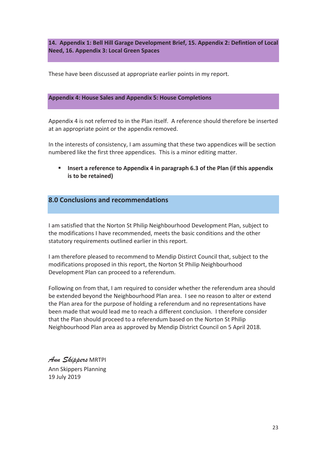14. Appendix 1: Bell Hill Garage Development Brief, 15. Appendix 2: Defintion of Local Need, 16. Appendix 3: Local Green Spaces

These have been discussed at appropriate earlier points in my report.

#### **Appendix 4: House Sales and Appendix 5: House Completions**

Appendix 4 is not referred to in the Plan itself. A reference should therefore be inserted at an appropriate point or the appendix removed.

In the interests of consistency, I am assuming that these two appendices will be section numbered like the first three appendices. This is a minor editing matter.

Insert a reference to Appendix 4 in paragraph 6.3 of the Plan (if this appendix is to be retained)

## 8.0 Conclusions and recommendations

I am satisfied that the Norton St Philip Neighbourhood Development Plan, subject to the modifications I have recommended, meets the basic conditions and the other statutory requirements outlined earlier in this report.

I am therefore pleased to recommend to Mendip Distirct Council that, subject to the modifications proposed in this report, the Norton St Philip Neighbourhood Development Plan can proceed to a referendum.

Following on from that, I am required to consider whether the referendum area should be extended beyond the Neighbourhood Plan area. I see no reason to alter or extend the Plan area for the purpose of holding a referendum and no representations have been made that would lead me to reach a different conclusion. I therefore consider that the Plan should proceed to a referendum based on the Norton St Philip Neighbourhood Plan area as approved by Mendip District Council on 5 April 2018.

Ann Skippers MRTPI Ann Skippers Planning 19 July 2019